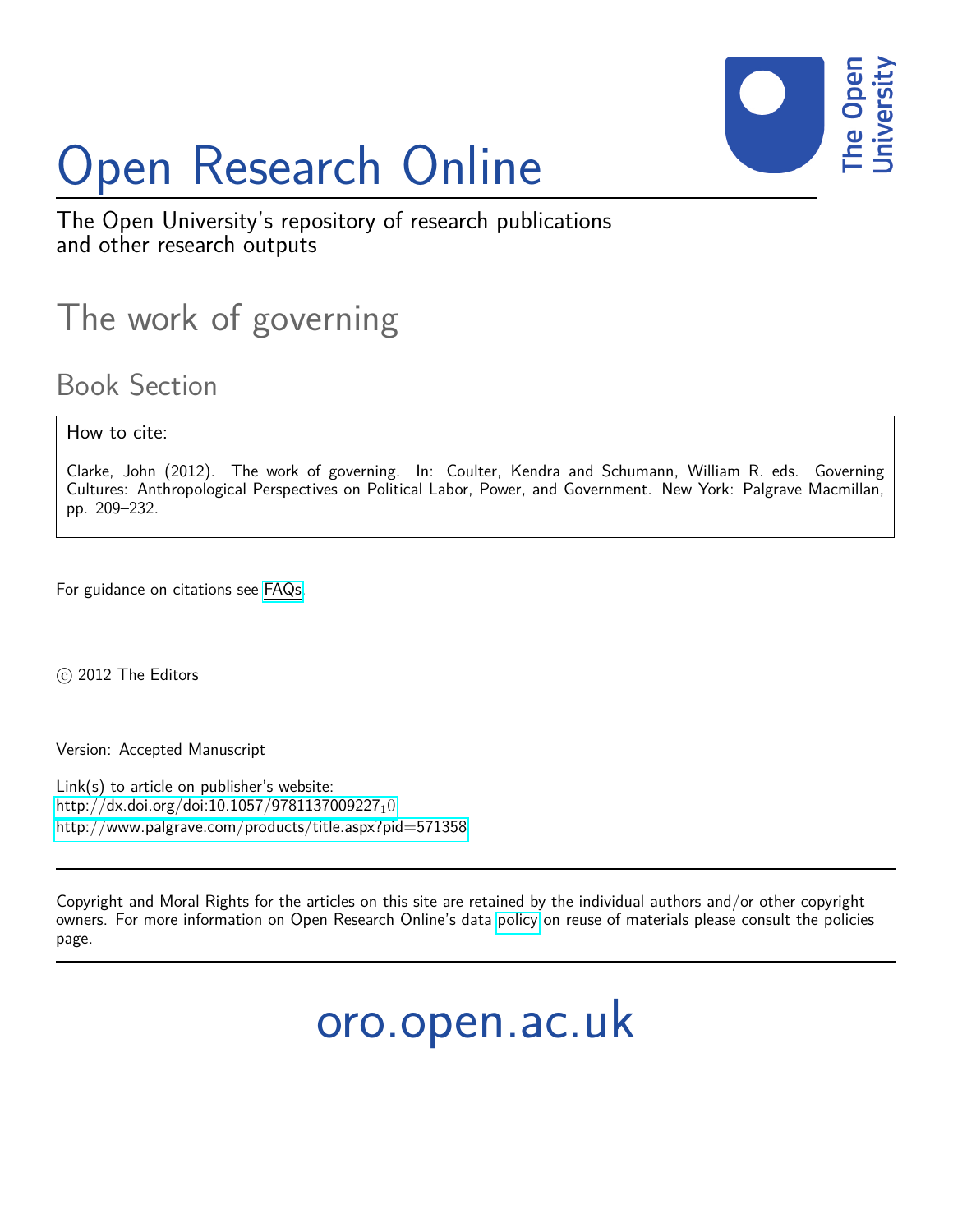

# Open Research Online

The Open University's repository of research publications and other research outputs

## The work of governing

### Book Section

How to cite:

Clarke, John (2012). The work of governing. In: Coulter, Kendra and Schumann, William R. eds. Governing Cultures: Anthropological Perspectives on Political Labor, Power, and Government. New York: Palgrave Macmillan, pp. 209–232.

For guidance on citations see [FAQs.](http://oro.open.ac.uk/help/helpfaq.html)

c 2012 The Editors

Version: Accepted Manuscript

Link(s) to article on publisher's website: [http://dx.doi.org/doi:10.1057/9781137009227](http://dx.doi.org/doi:10.1057/9781137009227_10)10 <http://www.palgrave.com/products/title.aspx?pid=571358>

Copyright and Moral Rights for the articles on this site are retained by the individual authors and/or other copyright owners. For more information on Open Research Online's data [policy](http://oro.open.ac.uk/policies.html) on reuse of materials please consult the policies page.

oro.open.ac.uk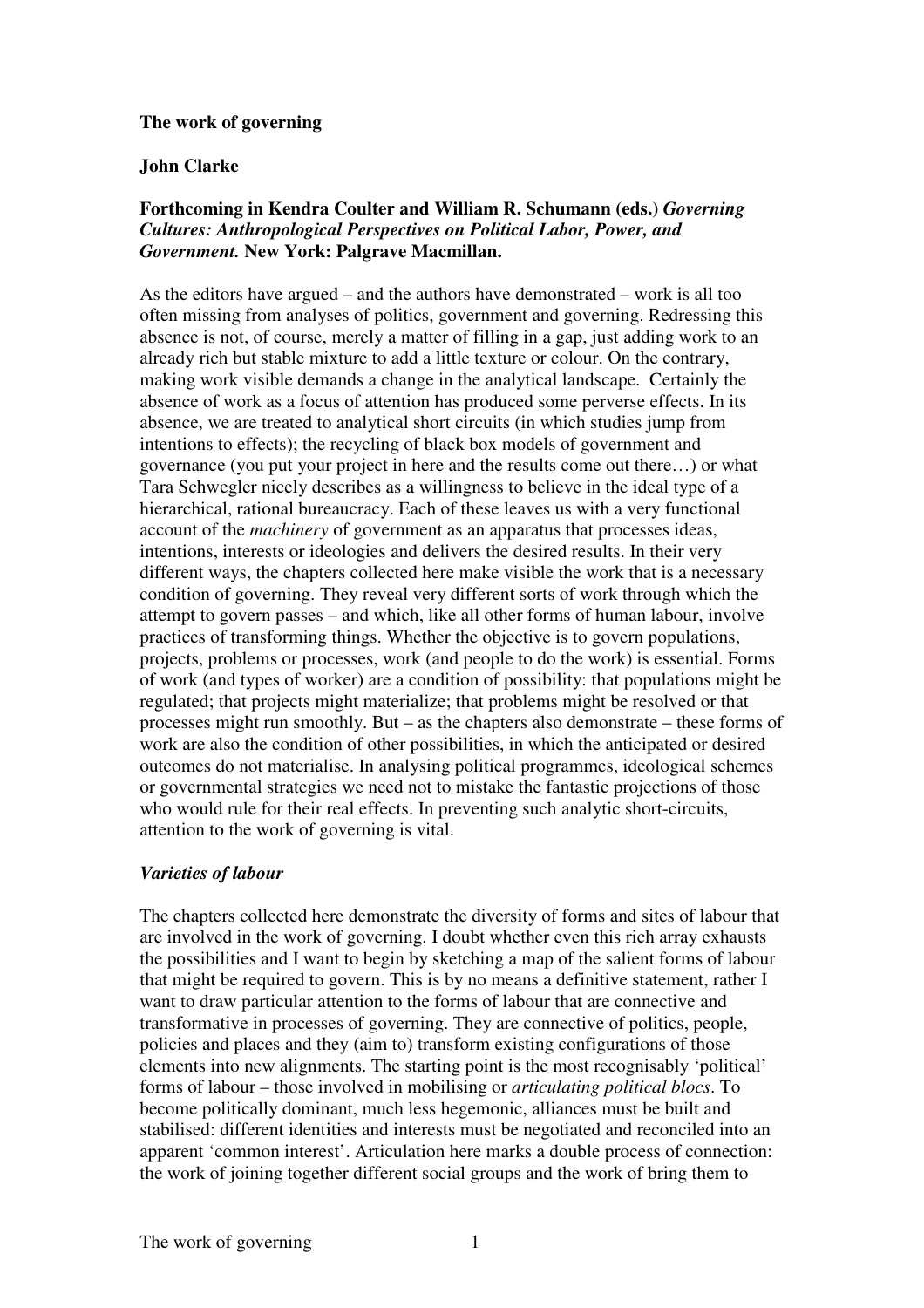#### **The work of governing**

#### **John Clarke**

#### **Forthcoming in Kendra Coulter and William R. Schumann (eds.)** *Governing Cultures: Anthropological Perspectives on Political Labor, Power, and Government.* **New York: Palgrave Macmillan.**

As the editors have argued – and the authors have demonstrated – work is all too often missing from analyses of politics, government and governing. Redressing this absence is not, of course, merely a matter of filling in a gap, just adding work to an already rich but stable mixture to add a little texture or colour. On the contrary, making work visible demands a change in the analytical landscape. Certainly the absence of work as a focus of attention has produced some perverse effects. In its absence, we are treated to analytical short circuits (in which studies jump from intentions to effects); the recycling of black box models of government and governance (you put your project in here and the results come out there…) or what Tara Schwegler nicely describes as a willingness to believe in the ideal type of a hierarchical, rational bureaucracy. Each of these leaves us with a very functional account of the *machinery* of government as an apparatus that processes ideas, intentions, interests or ideologies and delivers the desired results. In their very different ways, the chapters collected here make visible the work that is a necessary condition of governing. They reveal very different sorts of work through which the attempt to govern passes – and which, like all other forms of human labour, involve practices of transforming things. Whether the objective is to govern populations, projects, problems or processes, work (and people to do the work) is essential. Forms of work (and types of worker) are a condition of possibility: that populations might be regulated; that projects might materialize; that problems might be resolved or that processes might run smoothly. But – as the chapters also demonstrate – these forms of work are also the condition of other possibilities, in which the anticipated or desired outcomes do not materialise. In analysing political programmes, ideological schemes or governmental strategies we need not to mistake the fantastic projections of those who would rule for their real effects. In preventing such analytic short-circuits, attention to the work of governing is vital.

#### *Varieties of labour*

The chapters collected here demonstrate the diversity of forms and sites of labour that are involved in the work of governing. I doubt whether even this rich array exhausts the possibilities and I want to begin by sketching a map of the salient forms of labour that might be required to govern. This is by no means a definitive statement, rather I want to draw particular attention to the forms of labour that are connective and transformative in processes of governing. They are connective of politics, people, policies and places and they (aim to) transform existing configurations of those elements into new alignments. The starting point is the most recognisably 'political' forms of labour – those involved in mobilising or *articulating political blocs*. To become politically dominant, much less hegemonic, alliances must be built and stabilised: different identities and interests must be negotiated and reconciled into an apparent 'common interest'. Articulation here marks a double process of connection: the work of joining together different social groups and the work of bring them to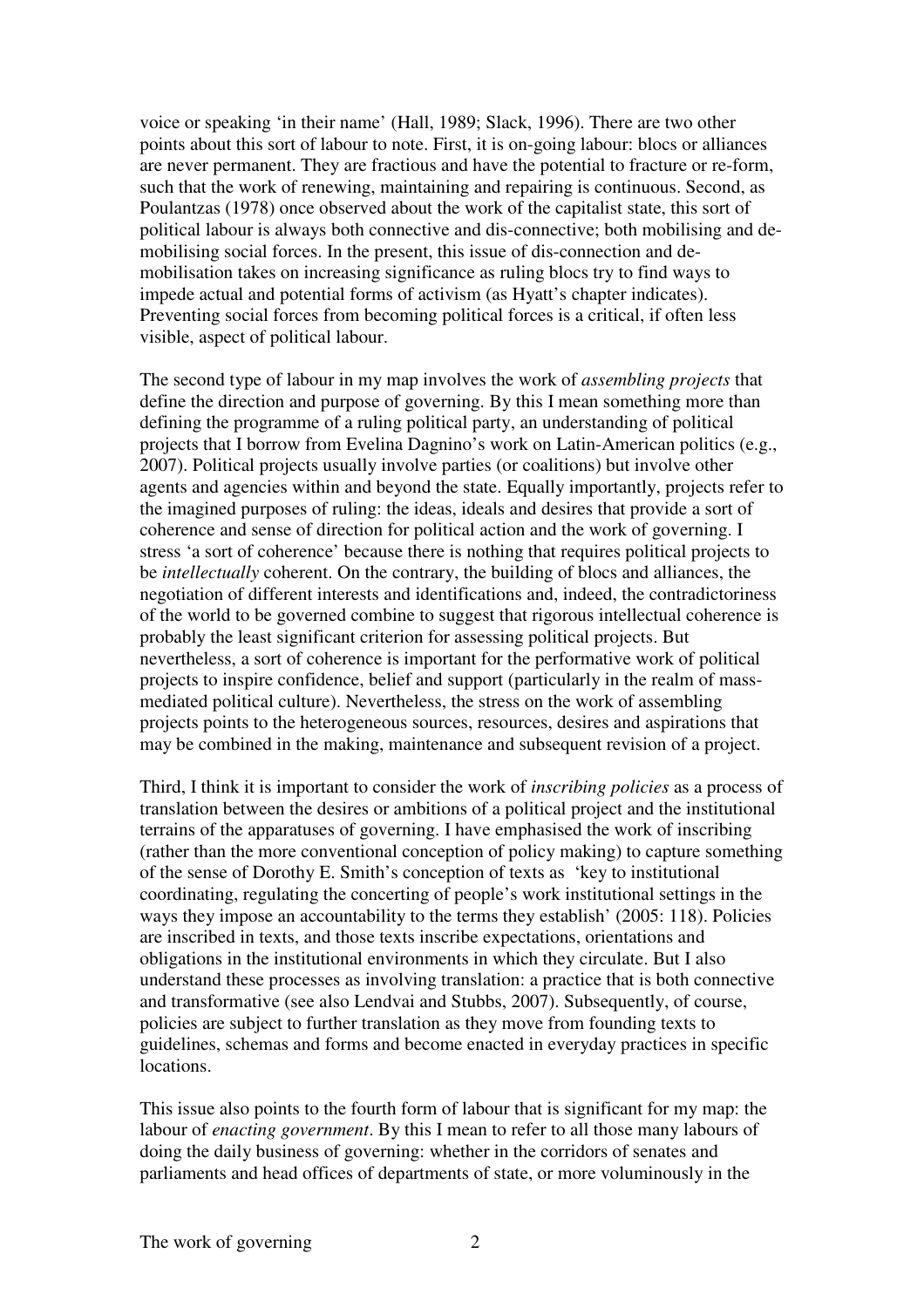voice or speaking 'in their name' (Hall, 1989; Slack, 1996). There are two other points about this sort of labour to note. First, it is on-going labour: blocs or alliances are never permanent. They are fractious and have the potential to fracture or re-form, such that the work of renewing, maintaining and repairing is continuous. Second, as Poulantzas (1978) once observed about the work of the capitalist state, this sort of political labour is always both connective and dis-connective; both mobilising and demobilising social forces. In the present, this issue of dis-connection and demobilisation takes on increasing significance as ruling blocs try to find ways to impede actual and potential forms of activism (as Hyatt's chapter indicates). Preventing social forces from becoming political forces is a critical, if often less visible, aspect of political labour.

The second type of labour in my map involves the work of *assembling projects* that define the direction and purpose of governing. By this I mean something more than defining the programme of a ruling political party, an understanding of political projects that I borrow from Evelina Dagnino's work on Latin-American politics (e.g., 2007). Political projects usually involve parties (or coalitions) but involve other agents and agencies within and beyond the state. Equally importantly, projects refer to the imagined purposes of ruling: the ideas, ideals and desires that provide a sort of coherence and sense of direction for political action and the work of governing. I stress 'a sort of coherence' because there is nothing that requires political projects to be *intellectually* coherent. On the contrary, the building of blocs and alliances, the negotiation of different interests and identifications and, indeed, the contradictoriness of the world to be governed combine to suggest that rigorous intellectual coherence is probably the least significant criterion for assessing political projects. But nevertheless, a sort of coherence is important for the performative work of political projects to inspire confidence, belief and support (particularly in the realm of massmediated political culture). Nevertheless, the stress on the work of assembling projects points to the heterogeneous sources, resources, desires and aspirations that may be combined in the making, maintenance and subsequent revision of a project.

Third, I think it is important to consider the work of *inscribing policies* as a process of translation between the desires or ambitions of a political project and the institutional terrains of the apparatuses of governing. I have emphasised the work of inscribing (rather than the more conventional conception of policy making) to capture something of the sense of Dorothy E. Smith's conception of texts as 'key to institutional coordinating, regulating the concerting of people's work institutional settings in the ways they impose an accountability to the terms they establish' (2005: 118). Policies are inscribed in texts, and those texts inscribe expectations, orientations and obligations in the institutional environments in which they circulate. But I also understand these processes as involving translation: a practice that is both connective and transformative (see also Lendvai and Stubbs, 2007). Subsequently, of course, policies are subject to further translation as they move from founding texts to guidelines, schemas and forms and become enacted in everyday practices in specific locations.

This issue also points to the fourth form of labour that is significant for my map: the labour of *enacting government*. By this I mean to refer to all those many labours of doing the daily business of governing: whether in the corridors of senates and parliaments and head offices of departments of state, or more voluminously in the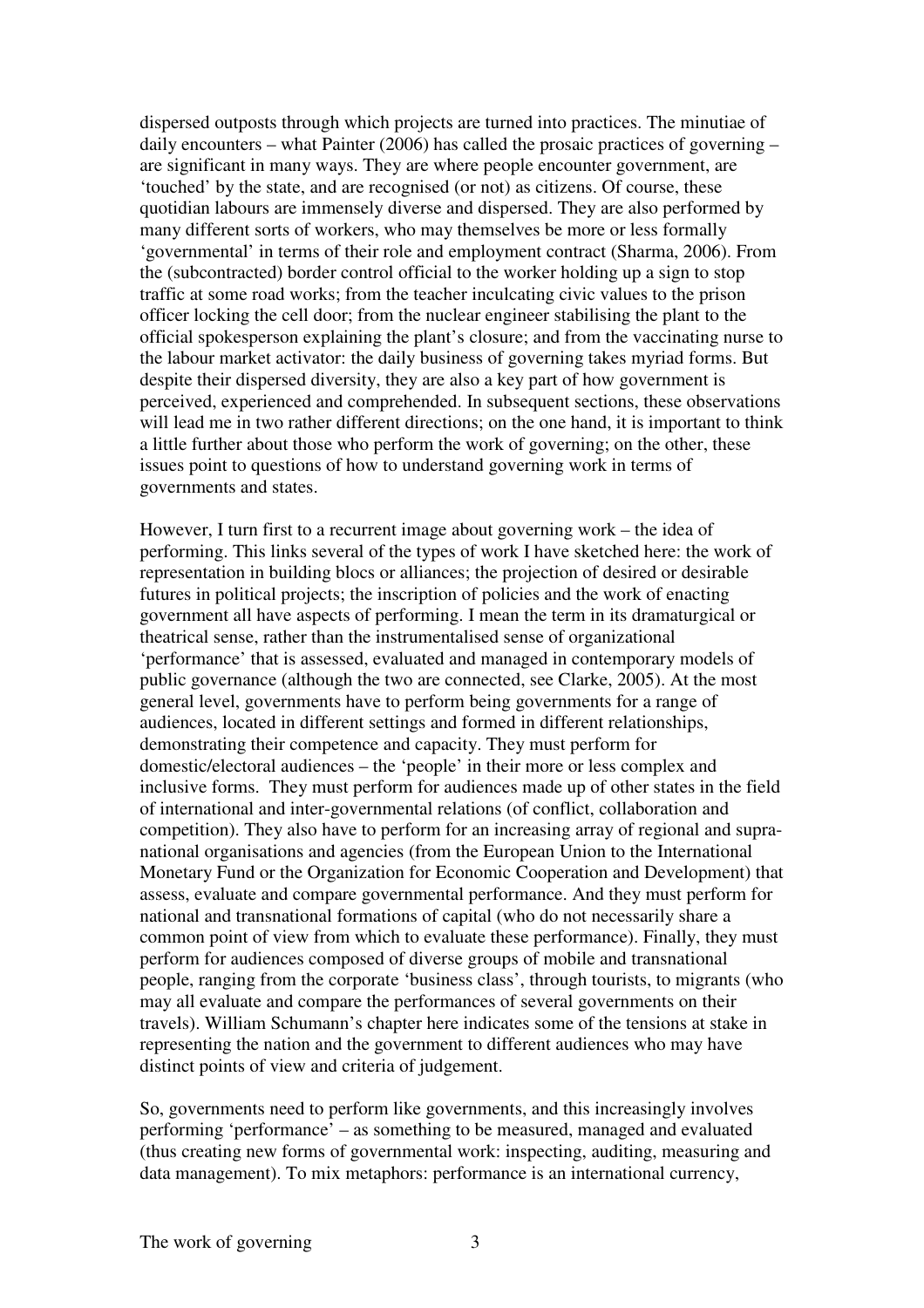dispersed outposts through which projects are turned into practices. The minutiae of daily encounters – what Painter (2006) has called the prosaic practices of governing – are significant in many ways. They are where people encounter government, are 'touched' by the state, and are recognised (or not) as citizens. Of course, these quotidian labours are immensely diverse and dispersed. They are also performed by many different sorts of workers, who may themselves be more or less formally 'governmental' in terms of their role and employment contract (Sharma, 2006). From the (subcontracted) border control official to the worker holding up a sign to stop traffic at some road works; from the teacher inculcating civic values to the prison officer locking the cell door; from the nuclear engineer stabilising the plant to the official spokesperson explaining the plant's closure; and from the vaccinating nurse to the labour market activator: the daily business of governing takes myriad forms. But despite their dispersed diversity, they are also a key part of how government is perceived, experienced and comprehended. In subsequent sections, these observations will lead me in two rather different directions; on the one hand, it is important to think a little further about those who perform the work of governing; on the other, these issues point to questions of how to understand governing work in terms of governments and states.

However, I turn first to a recurrent image about governing work – the idea of performing. This links several of the types of work I have sketched here: the work of representation in building blocs or alliances; the projection of desired or desirable futures in political projects; the inscription of policies and the work of enacting government all have aspects of performing. I mean the term in its dramaturgical or theatrical sense, rather than the instrumentalised sense of organizational 'performance' that is assessed, evaluated and managed in contemporary models of public governance (although the two are connected, see Clarke, 2005). At the most general level, governments have to perform being governments for a range of audiences, located in different settings and formed in different relationships, demonstrating their competence and capacity. They must perform for domestic/electoral audiences – the 'people' in their more or less complex and inclusive forms. They must perform for audiences made up of other states in the field of international and inter-governmental relations (of conflict, collaboration and competition). They also have to perform for an increasing array of regional and supranational organisations and agencies (from the European Union to the International Monetary Fund or the Organization for Economic Cooperation and Development) that assess, evaluate and compare governmental performance. And they must perform for national and transnational formations of capital (who do not necessarily share a common point of view from which to evaluate these performance). Finally, they must perform for audiences composed of diverse groups of mobile and transnational people, ranging from the corporate 'business class', through tourists, to migrants (who may all evaluate and compare the performances of several governments on their travels). William Schumann's chapter here indicates some of the tensions at stake in representing the nation and the government to different audiences who may have distinct points of view and criteria of judgement.

So, governments need to perform like governments, and this increasingly involves performing 'performance' – as something to be measured, managed and evaluated (thus creating new forms of governmental work: inspecting, auditing, measuring and data management). To mix metaphors: performance is an international currency,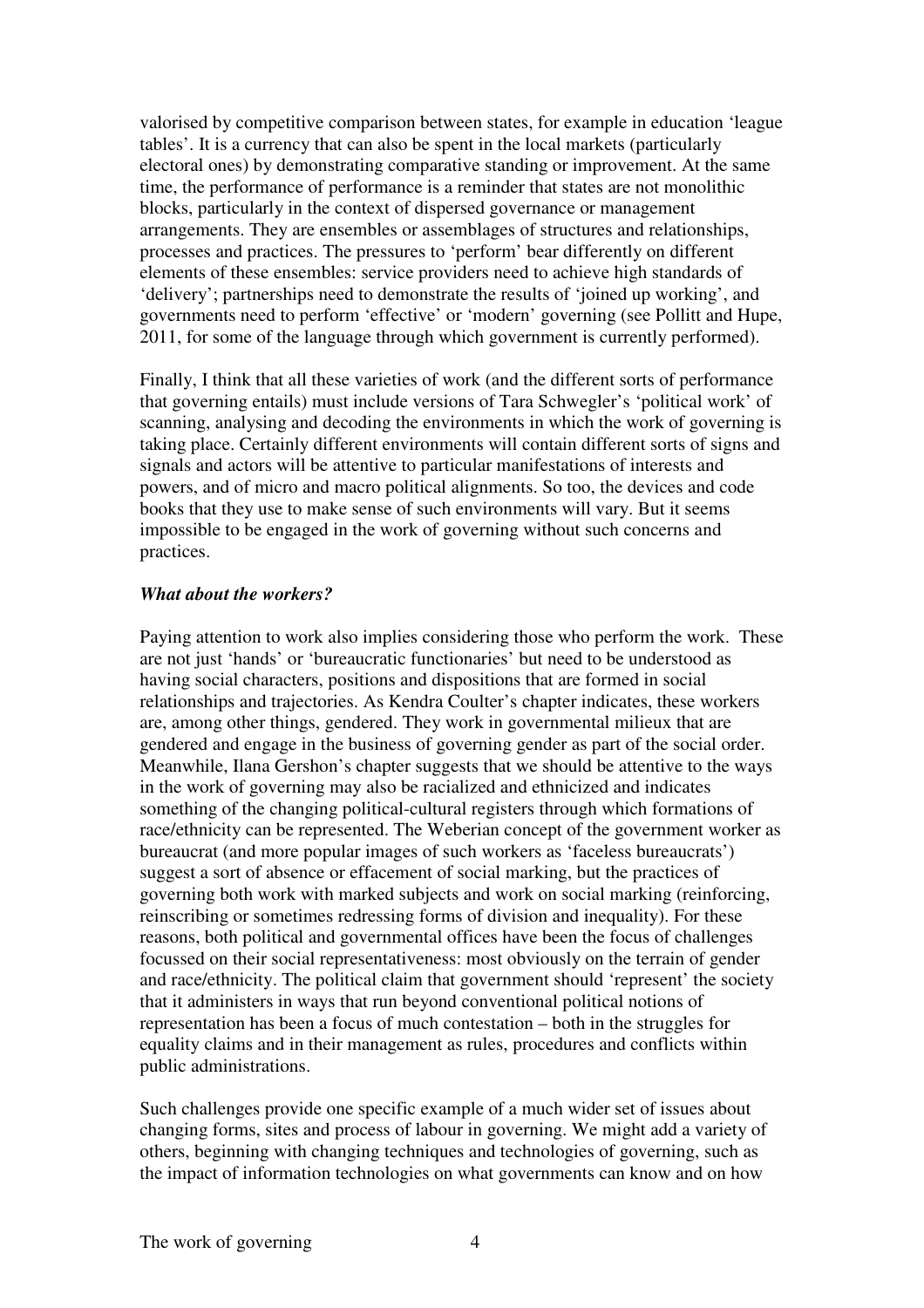valorised by competitive comparison between states, for example in education 'league tables'. It is a currency that can also be spent in the local markets (particularly electoral ones) by demonstrating comparative standing or improvement. At the same time, the performance of performance is a reminder that states are not monolithic blocks, particularly in the context of dispersed governance or management arrangements. They are ensembles or assemblages of structures and relationships, processes and practices. The pressures to 'perform' bear differently on different elements of these ensembles: service providers need to achieve high standards of 'delivery'; partnerships need to demonstrate the results of 'joined up working', and governments need to perform 'effective' or 'modern' governing (see Pollitt and Hupe, 2011, for some of the language through which government is currently performed).

Finally, I think that all these varieties of work (and the different sorts of performance that governing entails) must include versions of Tara Schwegler's 'political work' of scanning, analysing and decoding the environments in which the work of governing is taking place. Certainly different environments will contain different sorts of signs and signals and actors will be attentive to particular manifestations of interests and powers, and of micro and macro political alignments. So too, the devices and code books that they use to make sense of such environments will vary. But it seems impossible to be engaged in the work of governing without such concerns and practices.

#### *What about the workers?*

Paying attention to work also implies considering those who perform the work. These are not just 'hands' or 'bureaucratic functionaries' but need to be understood as having social characters, positions and dispositions that are formed in social relationships and trajectories. As Kendra Coulter's chapter indicates, these workers are, among other things, gendered. They work in governmental milieux that are gendered and engage in the business of governing gender as part of the social order. Meanwhile, Ilana Gershon's chapter suggests that we should be attentive to the ways in the work of governing may also be racialized and ethnicized and indicates something of the changing political-cultural registers through which formations of race/ethnicity can be represented. The Weberian concept of the government worker as bureaucrat (and more popular images of such workers as 'faceless bureaucrats') suggest a sort of absence or effacement of social marking, but the practices of governing both work with marked subjects and work on social marking (reinforcing, reinscribing or sometimes redressing forms of division and inequality). For these reasons, both political and governmental offices have been the focus of challenges focussed on their social representativeness: most obviously on the terrain of gender and race/ethnicity. The political claim that government should 'represent' the society that it administers in ways that run beyond conventional political notions of representation has been a focus of much contestation – both in the struggles for equality claims and in their management as rules, procedures and conflicts within public administrations.

Such challenges provide one specific example of a much wider set of issues about changing forms, sites and process of labour in governing. We might add a variety of others, beginning with changing techniques and technologies of governing, such as the impact of information technologies on what governments can know and on how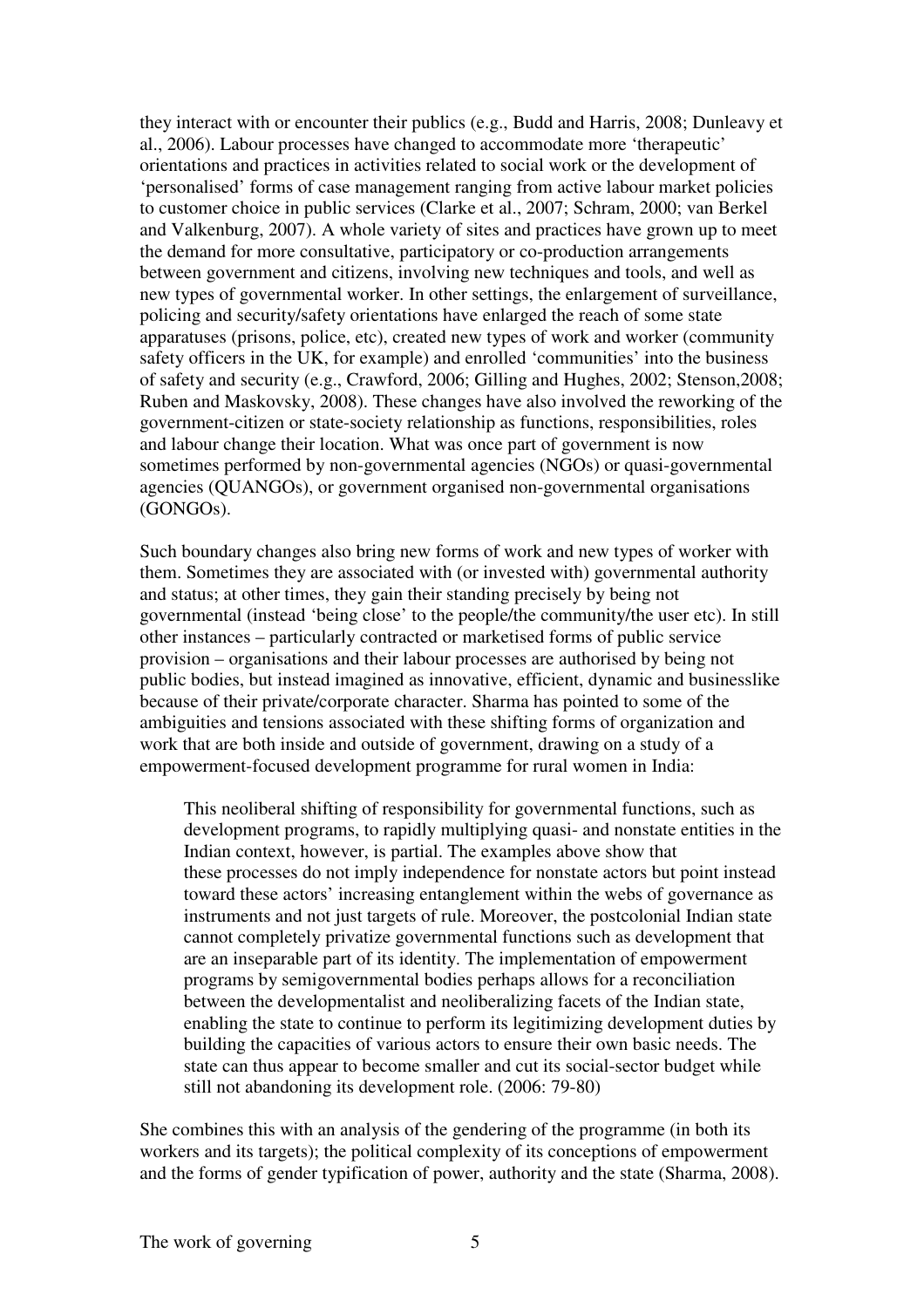they interact with or encounter their publics (e.g., Budd and Harris, 2008; Dunleavy et al., 2006). Labour processes have changed to accommodate more 'therapeutic' orientations and practices in activities related to social work or the development of 'personalised' forms of case management ranging from active labour market policies to customer choice in public services (Clarke et al., 2007; Schram, 2000; van Berkel and Valkenburg, 2007). A whole variety of sites and practices have grown up to meet the demand for more consultative, participatory or co-production arrangements between government and citizens, involving new techniques and tools, and well as new types of governmental worker. In other settings, the enlargement of surveillance, policing and security/safety orientations have enlarged the reach of some state apparatuses (prisons, police, etc), created new types of work and worker (community safety officers in the UK, for example) and enrolled 'communities' into the business of safety and security (e.g., Crawford, 2006; Gilling and Hughes, 2002; Stenson,2008; Ruben and Maskovsky, 2008). These changes have also involved the reworking of the government-citizen or state-society relationship as functions, responsibilities, roles and labour change their location. What was once part of government is now sometimes performed by non-governmental agencies (NGOs) or quasi-governmental agencies (QUANGOs), or government organised non-governmental organisations (GONGOs).

Such boundary changes also bring new forms of work and new types of worker with them. Sometimes they are associated with (or invested with) governmental authority and status; at other times, they gain their standing precisely by being not governmental (instead 'being close' to the people/the community/the user etc). In still other instances – particularly contracted or marketised forms of public service provision – organisations and their labour processes are authorised by being not public bodies, but instead imagined as innovative, efficient, dynamic and businesslike because of their private/corporate character. Sharma has pointed to some of the ambiguities and tensions associated with these shifting forms of organization and work that are both inside and outside of government, drawing on a study of a empowerment-focused development programme for rural women in India:

This neoliberal shifting of responsibility for governmental functions, such as development programs, to rapidly multiplying quasi- and nonstate entities in the Indian context, however, is partial. The examples above show that these processes do not imply independence for nonstate actors but point instead toward these actors' increasing entanglement within the webs of governance as instruments and not just targets of rule. Moreover, the postcolonial Indian state cannot completely privatize governmental functions such as development that are an inseparable part of its identity. The implementation of empowerment programs by semigovernmental bodies perhaps allows for a reconciliation between the developmentalist and neoliberalizing facets of the Indian state, enabling the state to continue to perform its legitimizing development duties by building the capacities of various actors to ensure their own basic needs. The state can thus appear to become smaller and cut its social-sector budget while still not abandoning its development role. (2006: 79-80)

She combines this with an analysis of the gendering of the programme (in both its workers and its targets); the political complexity of its conceptions of empowerment and the forms of gender typification of power, authority and the state (Sharma, 2008).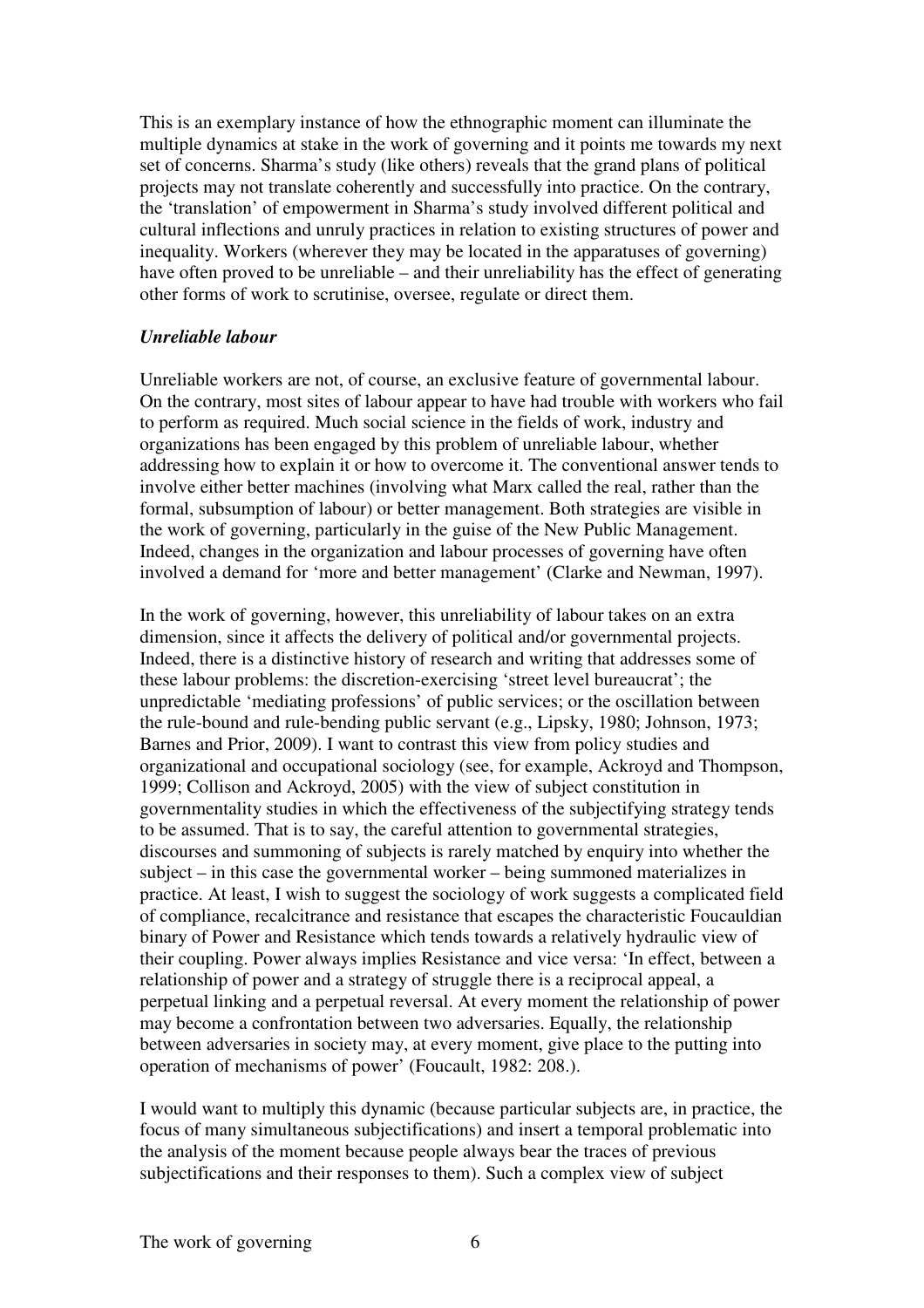This is an exemplary instance of how the ethnographic moment can illuminate the multiple dynamics at stake in the work of governing and it points me towards my next set of concerns. Sharma's study (like others) reveals that the grand plans of political projects may not translate coherently and successfully into practice. On the contrary, the 'translation' of empowerment in Sharma's study involved different political and cultural inflections and unruly practices in relation to existing structures of power and inequality. Workers (wherever they may be located in the apparatuses of governing) have often proved to be unreliable – and their unreliability has the effect of generating other forms of work to scrutinise, oversee, regulate or direct them.

#### *Unreliable labour*

Unreliable workers are not, of course, an exclusive feature of governmental labour. On the contrary, most sites of labour appear to have had trouble with workers who fail to perform as required. Much social science in the fields of work, industry and organizations has been engaged by this problem of unreliable labour, whether addressing how to explain it or how to overcome it. The conventional answer tends to involve either better machines (involving what Marx called the real, rather than the formal, subsumption of labour) or better management. Both strategies are visible in the work of governing, particularly in the guise of the New Public Management. Indeed, changes in the organization and labour processes of governing have often involved a demand for 'more and better management' (Clarke and Newman, 1997).

In the work of governing, however, this unreliability of labour takes on an extra dimension, since it affects the delivery of political and/or governmental projects. Indeed, there is a distinctive history of research and writing that addresses some of these labour problems: the discretion-exercising 'street level bureaucrat'; the unpredictable 'mediating professions' of public services; or the oscillation between the rule-bound and rule-bending public servant (e.g., Lipsky, 1980; Johnson, 1973; Barnes and Prior, 2009). I want to contrast this view from policy studies and organizational and occupational sociology (see, for example, Ackroyd and Thompson, 1999; Collison and Ackroyd, 2005) with the view of subject constitution in governmentality studies in which the effectiveness of the subjectifying strategy tends to be assumed. That is to say, the careful attention to governmental strategies, discourses and summoning of subjects is rarely matched by enquiry into whether the subject – in this case the governmental worker – being summoned materializes in practice. At least, I wish to suggest the sociology of work suggests a complicated field of compliance, recalcitrance and resistance that escapes the characteristic Foucauldian binary of Power and Resistance which tends towards a relatively hydraulic view of their coupling. Power always implies Resistance and vice versa: 'In effect, between a relationship of power and a strategy of struggle there is a reciprocal appeal, a perpetual linking and a perpetual reversal. At every moment the relationship of power may become a confrontation between two adversaries. Equally, the relationship between adversaries in society may, at every moment, give place to the putting into operation of mechanisms of power' (Foucault, 1982: 208.).

I would want to multiply this dynamic (because particular subjects are, in practice, the focus of many simultaneous subjectifications) and insert a temporal problematic into the analysis of the moment because people always bear the traces of previous subjectifications and their responses to them). Such a complex view of subject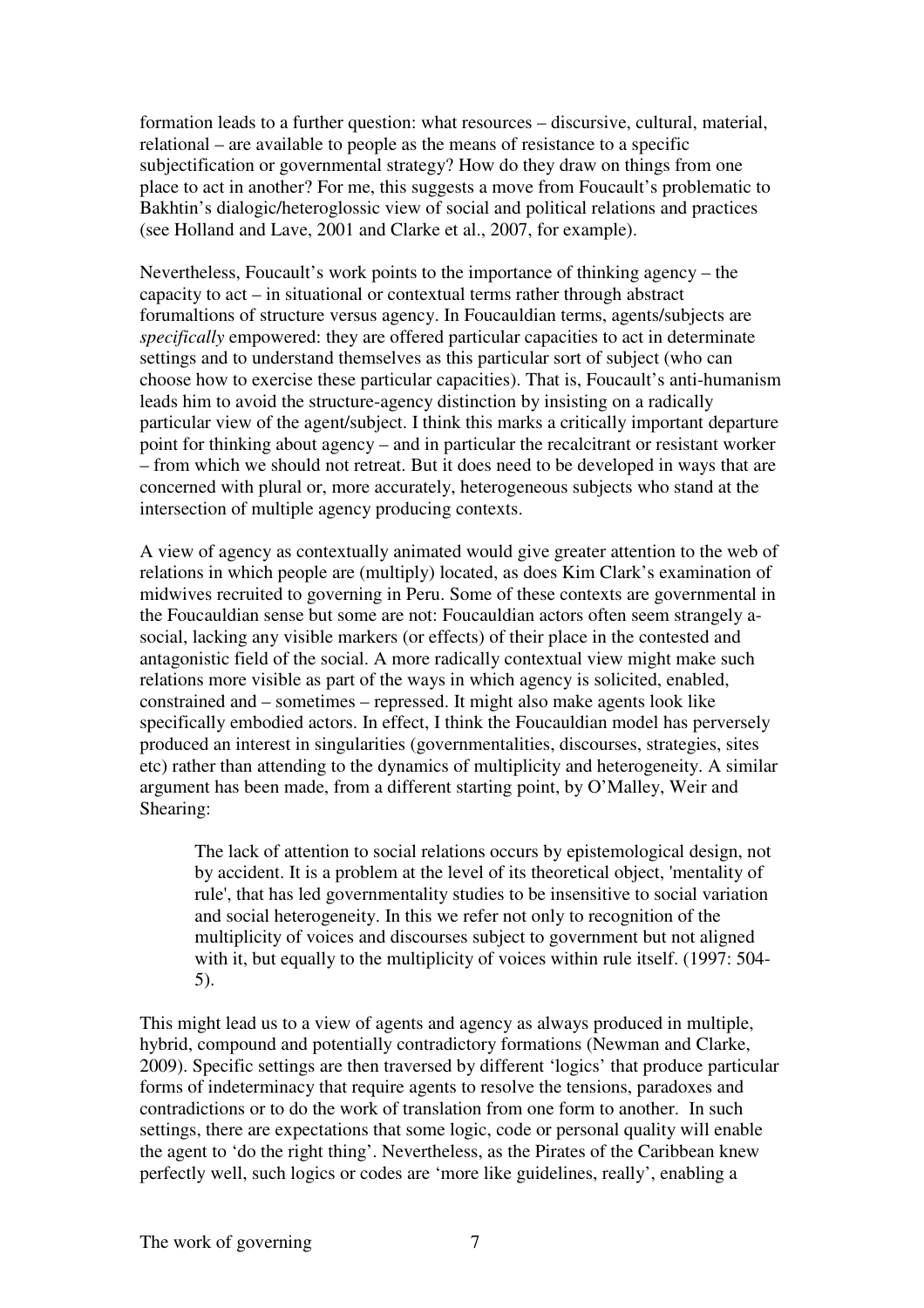formation leads to a further question: what resources – discursive, cultural, material, relational – are available to people as the means of resistance to a specific subjectification or governmental strategy? How do they draw on things from one place to act in another? For me, this suggests a move from Foucault's problematic to Bakhtin's dialogic/heteroglossic view of social and political relations and practices (see Holland and Lave, 2001 and Clarke et al., 2007, for example).

Nevertheless, Foucault's work points to the importance of thinking agency – the capacity to act – in situational or contextual terms rather through abstract forumaltions of structure versus agency. In Foucauldian terms, agents/subjects are *specifically* empowered: they are offered particular capacities to act in determinate settings and to understand themselves as this particular sort of subject (who can choose how to exercise these particular capacities). That is, Foucault's anti-humanism leads him to avoid the structure-agency distinction by insisting on a radically particular view of the agent/subject. I think this marks a critically important departure point for thinking about agency – and in particular the recalcitrant or resistant worker – from which we should not retreat. But it does need to be developed in ways that are concerned with plural or, more accurately, heterogeneous subjects who stand at the intersection of multiple agency producing contexts.

A view of agency as contextually animated would give greater attention to the web of relations in which people are (multiply) located, as does Kim Clark's examination of midwives recruited to governing in Peru. Some of these contexts are governmental in the Foucauldian sense but some are not: Foucauldian actors often seem strangely asocial, lacking any visible markers (or effects) of their place in the contested and antagonistic field of the social. A more radically contextual view might make such relations more visible as part of the ways in which agency is solicited, enabled, constrained and – sometimes – repressed. It might also make agents look like specifically embodied actors. In effect, I think the Foucauldian model has perversely produced an interest in singularities (governmentalities, discourses, strategies, sites etc) rather than attending to the dynamics of multiplicity and heterogeneity. A similar argument has been made, from a different starting point, by O'Malley, Weir and Shearing:

The lack of attention to social relations occurs by epistemological design, not by accident. It is a problem at the level of its theoretical object, 'mentality of rule', that has led governmentality studies to be insensitive to social variation and social heterogeneity. In this we refer not only to recognition of the multiplicity of voices and discourses subject to government but not aligned with it, but equally to the multiplicity of voices within rule itself. (1997: 504- 5).

This might lead us to a view of agents and agency as always produced in multiple, hybrid, compound and potentially contradictory formations (Newman and Clarke, 2009). Specific settings are then traversed by different 'logics' that produce particular forms of indeterminacy that require agents to resolve the tensions, paradoxes and contradictions or to do the work of translation from one form to another. In such settings, there are expectations that some logic, code or personal quality will enable the agent to 'do the right thing'. Nevertheless, as the Pirates of the Caribbean knew perfectly well, such logics or codes are 'more like guidelines, really', enabling a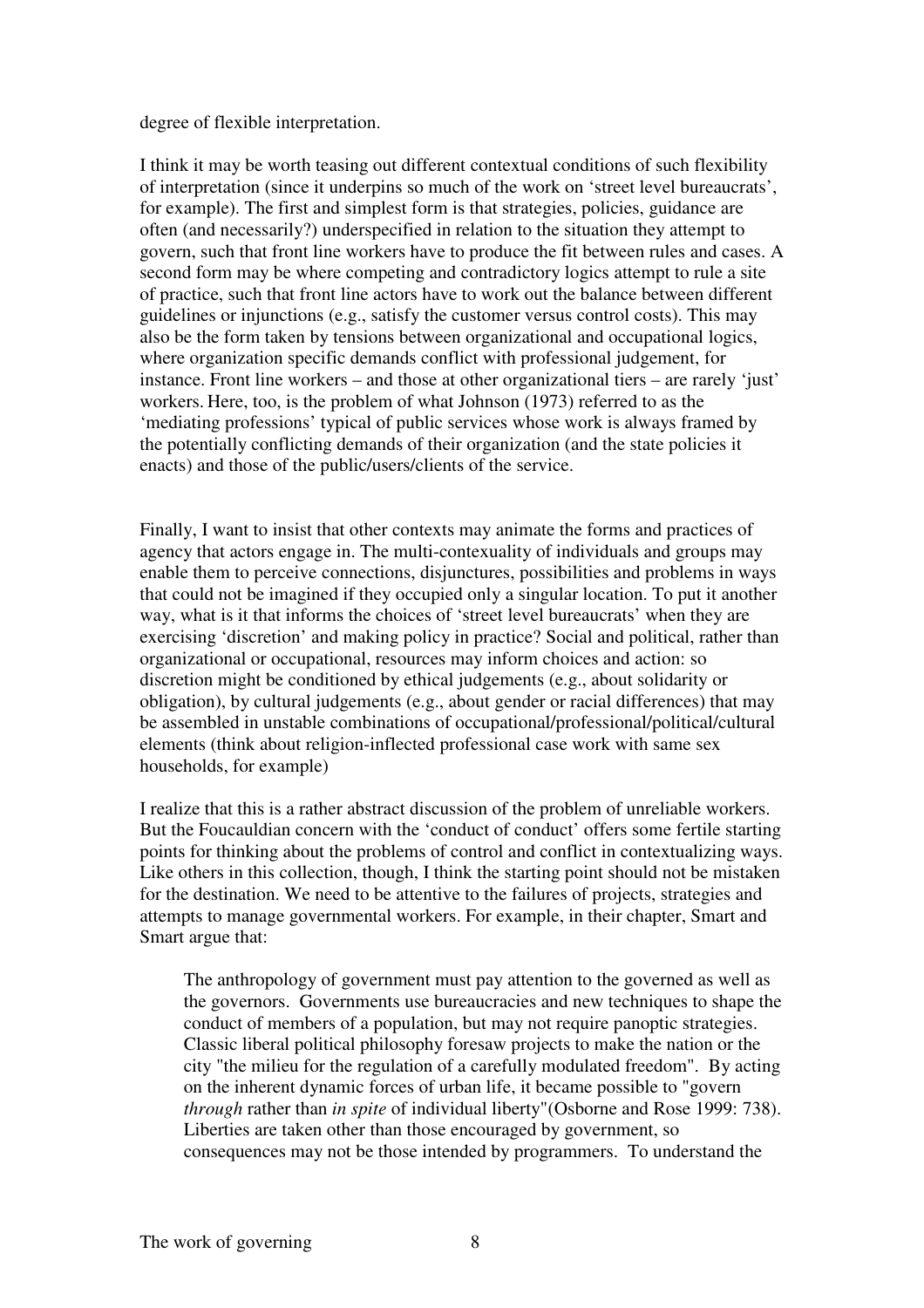degree of flexible interpretation.

I think it may be worth teasing out different contextual conditions of such flexibility of interpretation (since it underpins so much of the work on 'street level bureaucrats', for example). The first and simplest form is that strategies, policies, guidance are often (and necessarily?) underspecified in relation to the situation they attempt to govern, such that front line workers have to produce the fit between rules and cases. A second form may be where competing and contradictory logics attempt to rule a site of practice, such that front line actors have to work out the balance between different guidelines or injunctions (e.g., satisfy the customer versus control costs). This may also be the form taken by tensions between organizational and occupational logics, where organization specific demands conflict with professional judgement, for instance. Front line workers – and those at other organizational tiers – are rarely 'just' workers. Here, too, is the problem of what Johnson (1973) referred to as the 'mediating professions' typical of public services whose work is always framed by the potentially conflicting demands of their organization (and the state policies it enacts) and those of the public/users/clients of the service.

Finally, I want to insist that other contexts may animate the forms and practices of agency that actors engage in. The multi-contexuality of individuals and groups may enable them to perceive connections, disjunctures, possibilities and problems in ways that could not be imagined if they occupied only a singular location. To put it another way, what is it that informs the choices of 'street level bureaucrats' when they are exercising 'discretion' and making policy in practice? Social and political, rather than organizational or occupational, resources may inform choices and action: so discretion might be conditioned by ethical judgements (e.g., about solidarity or obligation), by cultural judgements (e.g., about gender or racial differences) that may be assembled in unstable combinations of occupational/professional/political/cultural elements (think about religion-inflected professional case work with same sex households, for example)

I realize that this is a rather abstract discussion of the problem of unreliable workers. But the Foucauldian concern with the 'conduct of conduct' offers some fertile starting points for thinking about the problems of control and conflict in contextualizing ways. Like others in this collection, though, I think the starting point should not be mistaken for the destination. We need to be attentive to the failures of projects, strategies and attempts to manage governmental workers. For example, in their chapter, Smart and Smart argue that:

The anthropology of government must pay attention to the governed as well as the governors. Governments use bureaucracies and new techniques to shape the conduct of members of a population, but may not require panoptic strategies. Classic liberal political philosophy foresaw projects to make the nation or the city "the milieu for the regulation of a carefully modulated freedom". By acting on the inherent dynamic forces of urban life, it became possible to "govern *through* rather than *in spite* of individual liberty"(Osborne and Rose 1999: 738). Liberties are taken other than those encouraged by government, so consequences may not be those intended by programmers. To understand the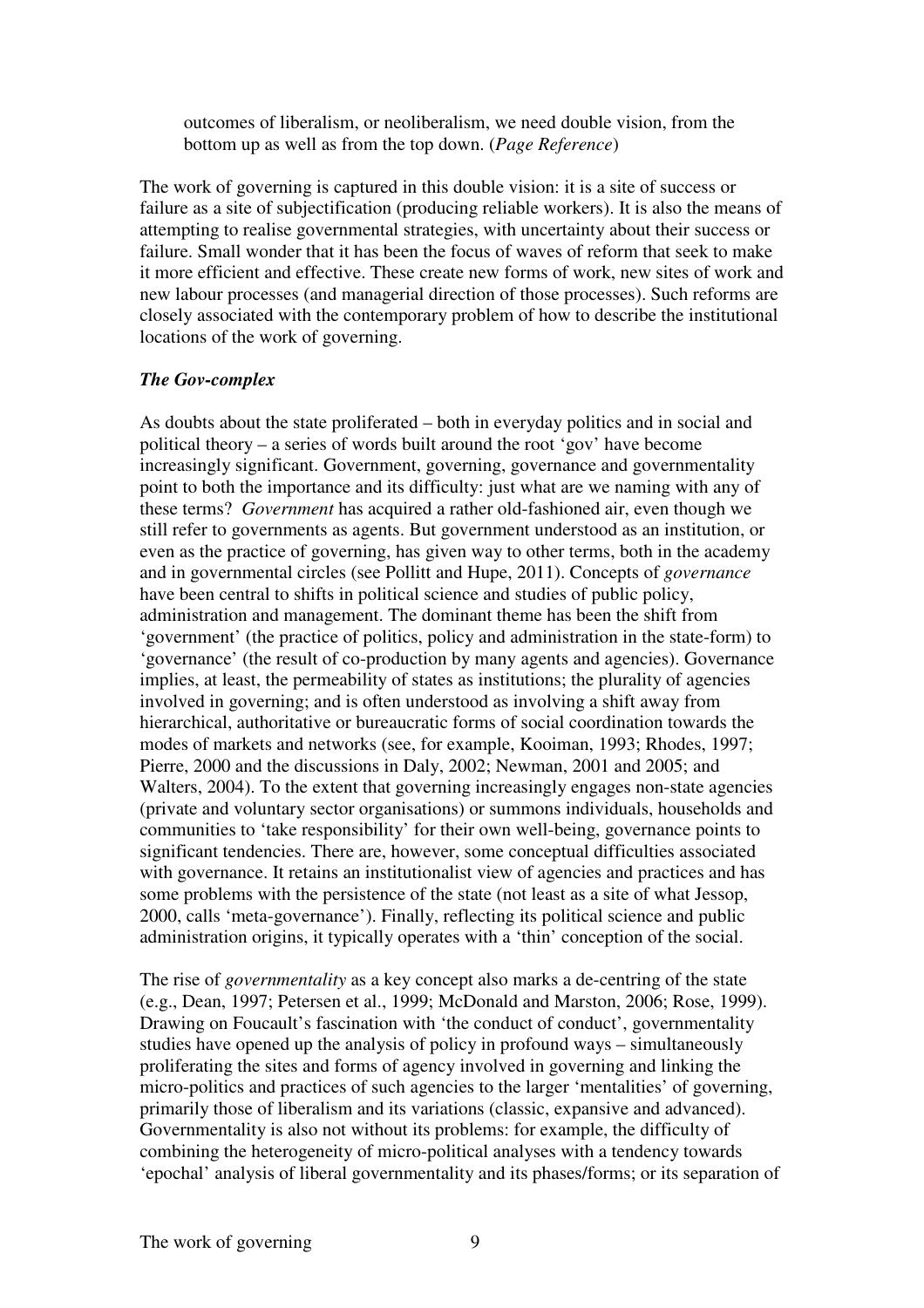outcomes of liberalism, or neoliberalism, we need double vision, from the bottom up as well as from the top down. (*Page Reference*)

The work of governing is captured in this double vision: it is a site of success or failure as a site of subjectification (producing reliable workers). It is also the means of attempting to realise governmental strategies, with uncertainty about their success or failure. Small wonder that it has been the focus of waves of reform that seek to make it more efficient and effective. These create new forms of work, new sites of work and new labour processes (and managerial direction of those processes). Such reforms are closely associated with the contemporary problem of how to describe the institutional locations of the work of governing.

#### *The Gov-complex*

As doubts about the state proliferated – both in everyday politics and in social and political theory – a series of words built around the root 'gov' have become increasingly significant. Government, governing, governance and governmentality point to both the importance and its difficulty: just what are we naming with any of these terms? *Government* has acquired a rather old-fashioned air, even though we still refer to governments as agents. But government understood as an institution, or even as the practice of governing, has given way to other terms, both in the academy and in governmental circles (see Pollitt and Hupe, 2011). Concepts of *governance* have been central to shifts in political science and studies of public policy, administration and management. The dominant theme has been the shift from 'government' (the practice of politics, policy and administration in the state-form) to 'governance' (the result of co-production by many agents and agencies). Governance implies, at least, the permeability of states as institutions; the plurality of agencies involved in governing; and is often understood as involving a shift away from hierarchical, authoritative or bureaucratic forms of social coordination towards the modes of markets and networks (see, for example, Kooiman, 1993; Rhodes, 1997; Pierre, 2000 and the discussions in Daly, 2002; Newman, 2001 and 2005; and Walters, 2004). To the extent that governing increasingly engages non-state agencies (private and voluntary sector organisations) or summons individuals, households and communities to 'take responsibility' for their own well-being, governance points to significant tendencies. There are, however, some conceptual difficulties associated with governance. It retains an institutionalist view of agencies and practices and has some problems with the persistence of the state (not least as a site of what Jessop, 2000, calls 'meta-governance'). Finally, reflecting its political science and public administration origins, it typically operates with a 'thin' conception of the social.

The rise of *governmentality* as a key concept also marks a de-centring of the state (e.g., Dean, 1997; Petersen et al., 1999; McDonald and Marston, 2006; Rose, 1999). Drawing on Foucault's fascination with 'the conduct of conduct', governmentality studies have opened up the analysis of policy in profound ways – simultaneously proliferating the sites and forms of agency involved in governing and linking the micro-politics and practices of such agencies to the larger 'mentalities' of governing, primarily those of liberalism and its variations (classic, expansive and advanced). Governmentality is also not without its problems: for example, the difficulty of combining the heterogeneity of micro-political analyses with a tendency towards 'epochal' analysis of liberal governmentality and its phases/forms; or its separation of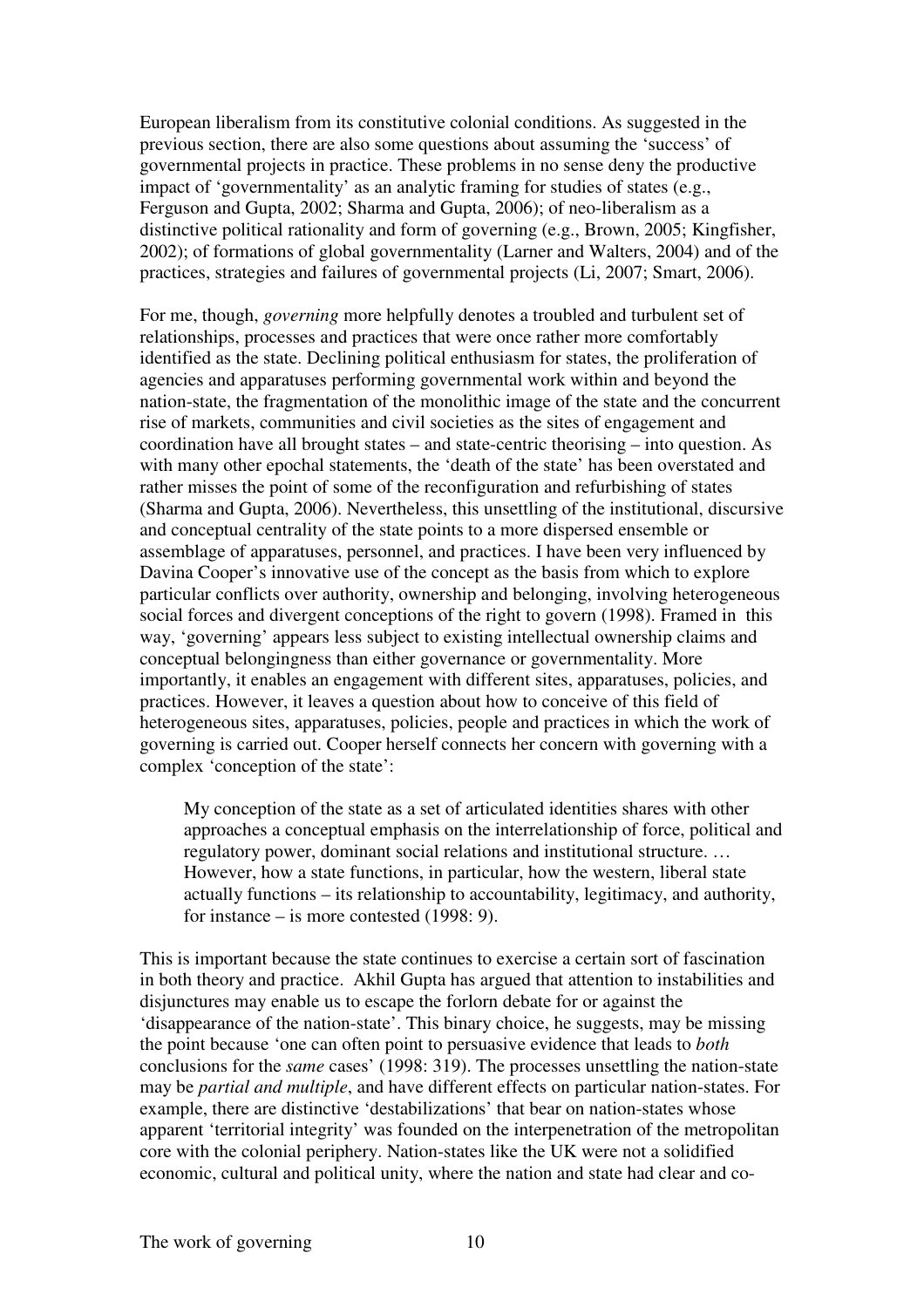European liberalism from its constitutive colonial conditions. As suggested in the previous section, there are also some questions about assuming the 'success' of governmental projects in practice. These problems in no sense deny the productive impact of 'governmentality' as an analytic framing for studies of states (e.g., Ferguson and Gupta, 2002; Sharma and Gupta, 2006); of neo-liberalism as a distinctive political rationality and form of governing (e.g., Brown, 2005; Kingfisher, 2002); of formations of global governmentality (Larner and Walters, 2004) and of the practices, strategies and failures of governmental projects (Li, 2007; Smart, 2006).

For me, though, *governing* more helpfully denotes a troubled and turbulent set of relationships, processes and practices that were once rather more comfortably identified as the state. Declining political enthusiasm for states, the proliferation of agencies and apparatuses performing governmental work within and beyond the nation-state, the fragmentation of the monolithic image of the state and the concurrent rise of markets, communities and civil societies as the sites of engagement and coordination have all brought states – and state-centric theorising – into question. As with many other epochal statements, the 'death of the state' has been overstated and rather misses the point of some of the reconfiguration and refurbishing of states (Sharma and Gupta, 2006). Nevertheless, this unsettling of the institutional, discursive and conceptual centrality of the state points to a more dispersed ensemble or assemblage of apparatuses, personnel, and practices. I have been very influenced by Davina Cooper's innovative use of the concept as the basis from which to explore particular conflicts over authority, ownership and belonging, involving heterogeneous social forces and divergent conceptions of the right to govern (1998). Framed in this way, 'governing' appears less subject to existing intellectual ownership claims and conceptual belongingness than either governance or governmentality. More importantly, it enables an engagement with different sites, apparatuses, policies, and practices. However, it leaves a question about how to conceive of this field of heterogeneous sites, apparatuses, policies, people and practices in which the work of governing is carried out. Cooper herself connects her concern with governing with a complex 'conception of the state':

My conception of the state as a set of articulated identities shares with other approaches a conceptual emphasis on the interrelationship of force, political and regulatory power, dominant social relations and institutional structure. … However, how a state functions, in particular, how the western, liberal state actually functions – its relationship to accountability, legitimacy, and authority, for instance – is more contested (1998: 9).

This is important because the state continues to exercise a certain sort of fascination in both theory and practice. Akhil Gupta has argued that attention to instabilities and disjunctures may enable us to escape the forlorn debate for or against the 'disappearance of the nation-state'. This binary choice, he suggests, may be missing the point because 'one can often point to persuasive evidence that leads to *both* conclusions for the *same* cases' (1998: 319). The processes unsettling the nation-state may be *partial and multiple*, and have different effects on particular nation-states. For example, there are distinctive 'destabilizations' that bear on nation-states whose apparent 'territorial integrity' was founded on the interpenetration of the metropolitan core with the colonial periphery. Nation-states like the UK were not a solidified economic, cultural and political unity, where the nation and state had clear and co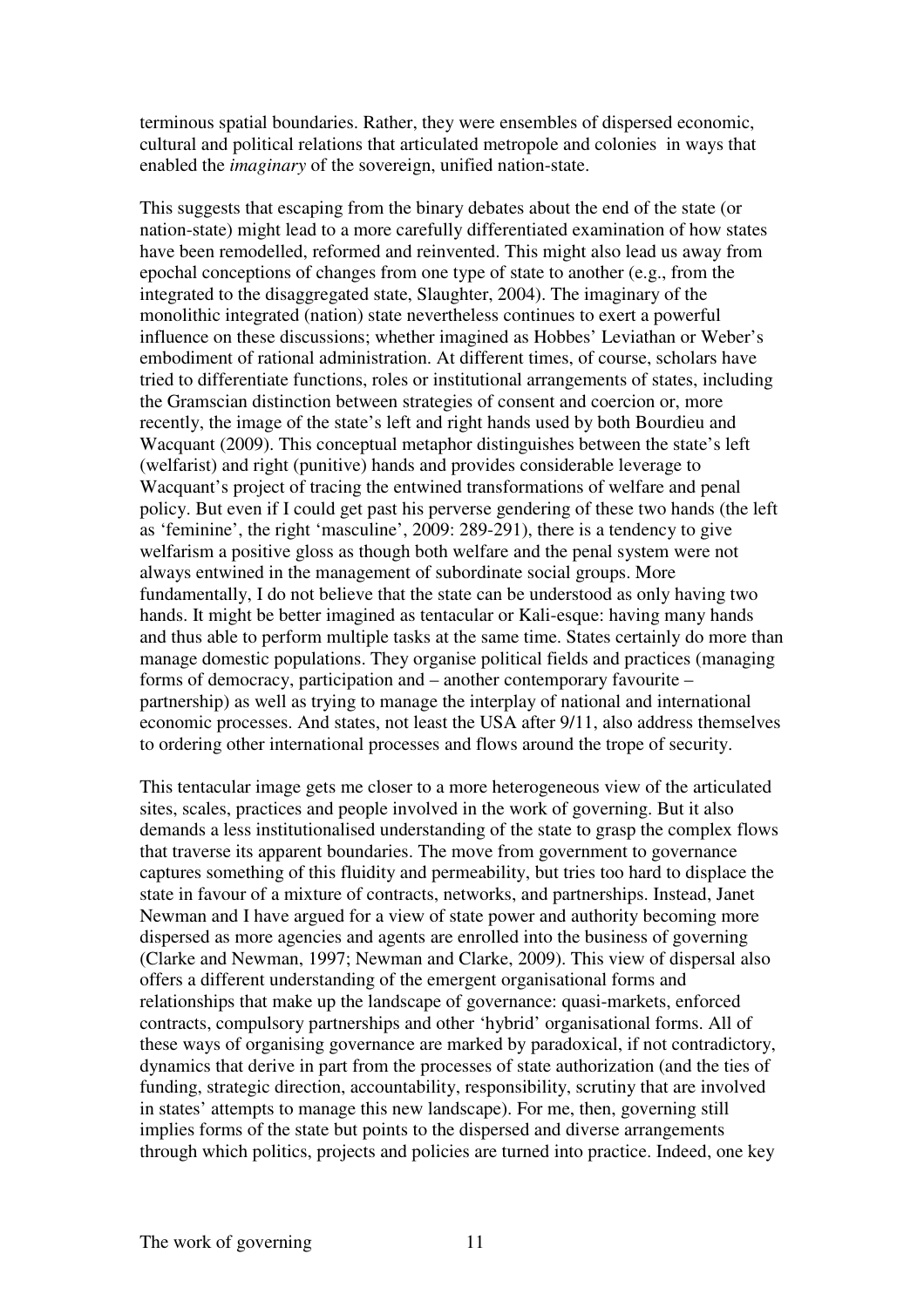terminous spatial boundaries. Rather, they were ensembles of dispersed economic, cultural and political relations that articulated metropole and colonies in ways that enabled the *imaginary* of the sovereign, unified nation-state.

This suggests that escaping from the binary debates about the end of the state (or nation-state) might lead to a more carefully differentiated examination of how states have been remodelled, reformed and reinvented. This might also lead us away from epochal conceptions of changes from one type of state to another (e.g., from the integrated to the disaggregated state, Slaughter, 2004). The imaginary of the monolithic integrated (nation) state nevertheless continues to exert a powerful influence on these discussions; whether imagined as Hobbes' Leviathan or Weber's embodiment of rational administration. At different times, of course, scholars have tried to differentiate functions, roles or institutional arrangements of states, including the Gramscian distinction between strategies of consent and coercion or, more recently, the image of the state's left and right hands used by both Bourdieu and Wacquant (2009). This conceptual metaphor distinguishes between the state's left (welfarist) and right (punitive) hands and provides considerable leverage to Wacquant's project of tracing the entwined transformations of welfare and penal policy. But even if I could get past his perverse gendering of these two hands (the left as 'feminine', the right 'masculine', 2009: 289-291), there is a tendency to give welfarism a positive gloss as though both welfare and the penal system were not always entwined in the management of subordinate social groups. More fundamentally, I do not believe that the state can be understood as only having two hands. It might be better imagined as tentacular or Kali-esque: having many hands and thus able to perform multiple tasks at the same time. States certainly do more than manage domestic populations. They organise political fields and practices (managing forms of democracy, participation and – another contemporary favourite – partnership) as well as trying to manage the interplay of national and international economic processes. And states, not least the USA after 9/11, also address themselves to ordering other international processes and flows around the trope of security.

This tentacular image gets me closer to a more heterogeneous view of the articulated sites, scales, practices and people involved in the work of governing. But it also demands a less institutionalised understanding of the state to grasp the complex flows that traverse its apparent boundaries. The move from government to governance captures something of this fluidity and permeability, but tries too hard to displace the state in favour of a mixture of contracts, networks, and partnerships. Instead, Janet Newman and I have argued for a view of state power and authority becoming more dispersed as more agencies and agents are enrolled into the business of governing (Clarke and Newman, 1997; Newman and Clarke, 2009). This view of dispersal also offers a different understanding of the emergent organisational forms and relationships that make up the landscape of governance: quasi-markets, enforced contracts, compulsory partnerships and other 'hybrid' organisational forms. All of these ways of organising governance are marked by paradoxical, if not contradictory, dynamics that derive in part from the processes of state authorization (and the ties of funding, strategic direction, accountability, responsibility, scrutiny that are involved in states' attempts to manage this new landscape). For me, then, governing still implies forms of the state but points to the dispersed and diverse arrangements through which politics, projects and policies are turned into practice. Indeed, one key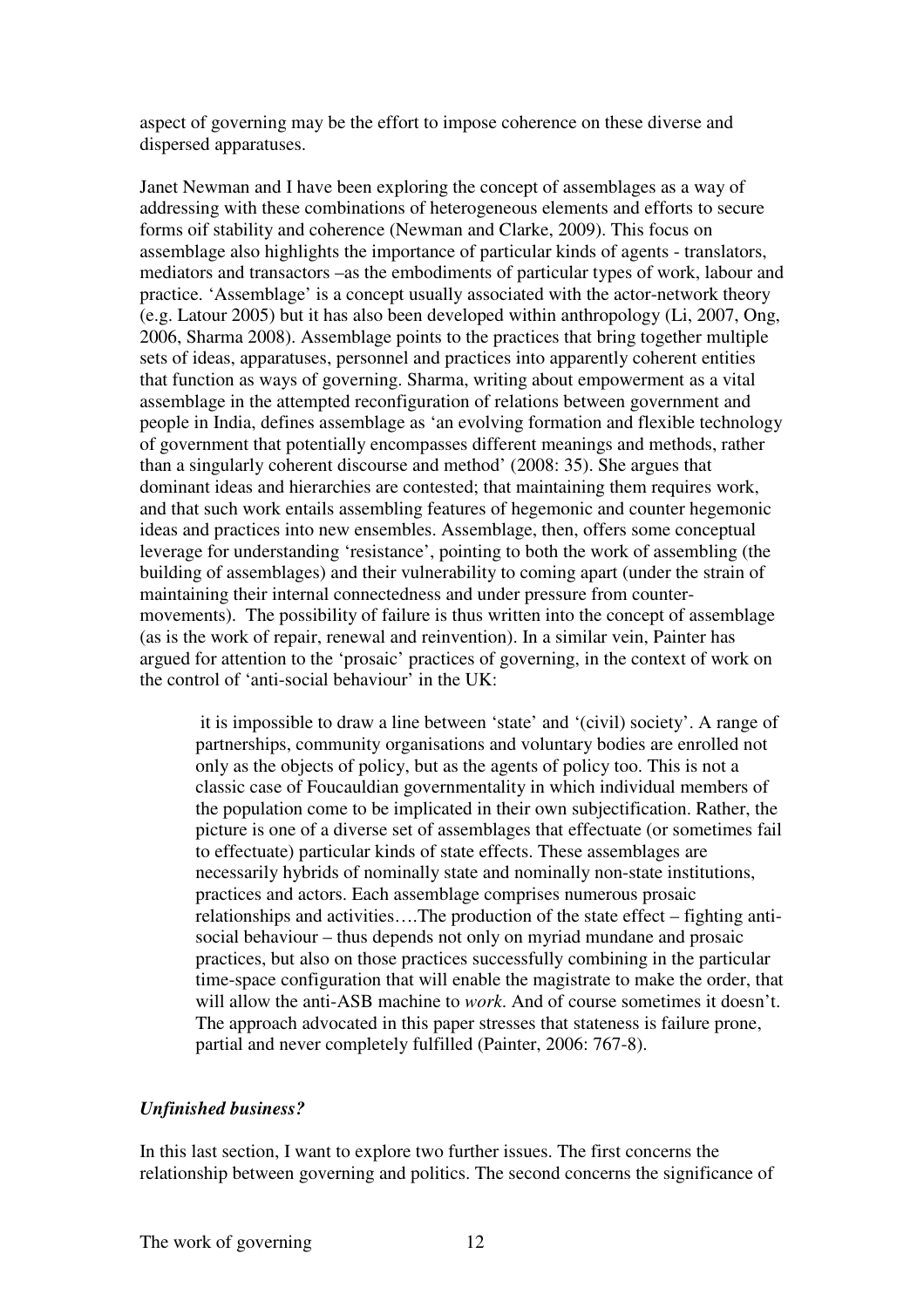aspect of governing may be the effort to impose coherence on these diverse and dispersed apparatuses.

Janet Newman and I have been exploring the concept of assemblages as a way of addressing with these combinations of heterogeneous elements and efforts to secure forms oif stability and coherence (Newman and Clarke, 2009). This focus on assemblage also highlights the importance of particular kinds of agents - translators, mediators and transactors –as the embodiments of particular types of work, labour and practice. 'Assemblage' is a concept usually associated with the actor-network theory (e.g. Latour 2005) but it has also been developed within anthropology (Li, 2007, Ong, 2006, Sharma 2008). Assemblage points to the practices that bring together multiple sets of ideas, apparatuses, personnel and practices into apparently coherent entities that function as ways of governing. Sharma, writing about empowerment as a vital assemblage in the attempted reconfiguration of relations between government and people in India, defines assemblage as 'an evolving formation and flexible technology of government that potentially encompasses different meanings and methods, rather than a singularly coherent discourse and method' (2008: 35). She argues that dominant ideas and hierarchies are contested; that maintaining them requires work, and that such work entails assembling features of hegemonic and counter hegemonic ideas and practices into new ensembles. Assemblage, then, offers some conceptual leverage for understanding 'resistance', pointing to both the work of assembling (the building of assemblages) and their vulnerability to coming apart (under the strain of maintaining their internal connectedness and under pressure from countermovements). The possibility of failure is thus written into the concept of assemblage (as is the work of repair, renewal and reinvention). In a similar vein, Painter has argued for attention to the 'prosaic' practices of governing, in the context of work on the control of 'anti-social behaviour' in the UK:

 it is impossible to draw a line between 'state' and '(civil) society'. A range of partnerships, community organisations and voluntary bodies are enrolled not only as the objects of policy, but as the agents of policy too. This is not a classic case of Foucauldian governmentality in which individual members of the population come to be implicated in their own subjectification. Rather, the picture is one of a diverse set of assemblages that effectuate (or sometimes fail to effectuate) particular kinds of state effects. These assemblages are necessarily hybrids of nominally state and nominally non-state institutions, practices and actors. Each assemblage comprises numerous prosaic relationships and activities….The production of the state effect – fighting antisocial behaviour – thus depends not only on myriad mundane and prosaic practices, but also on those practices successfully combining in the particular time-space configuration that will enable the magistrate to make the order, that will allow the anti-ASB machine to *work*. And of course sometimes it doesn't. The approach advocated in this paper stresses that stateness is failure prone, partial and never completely fulfilled (Painter, 2006: 767-8).

#### *Unfinished business?*

In this last section, I want to explore two further issues. The first concerns the relationship between governing and politics. The second concerns the significance of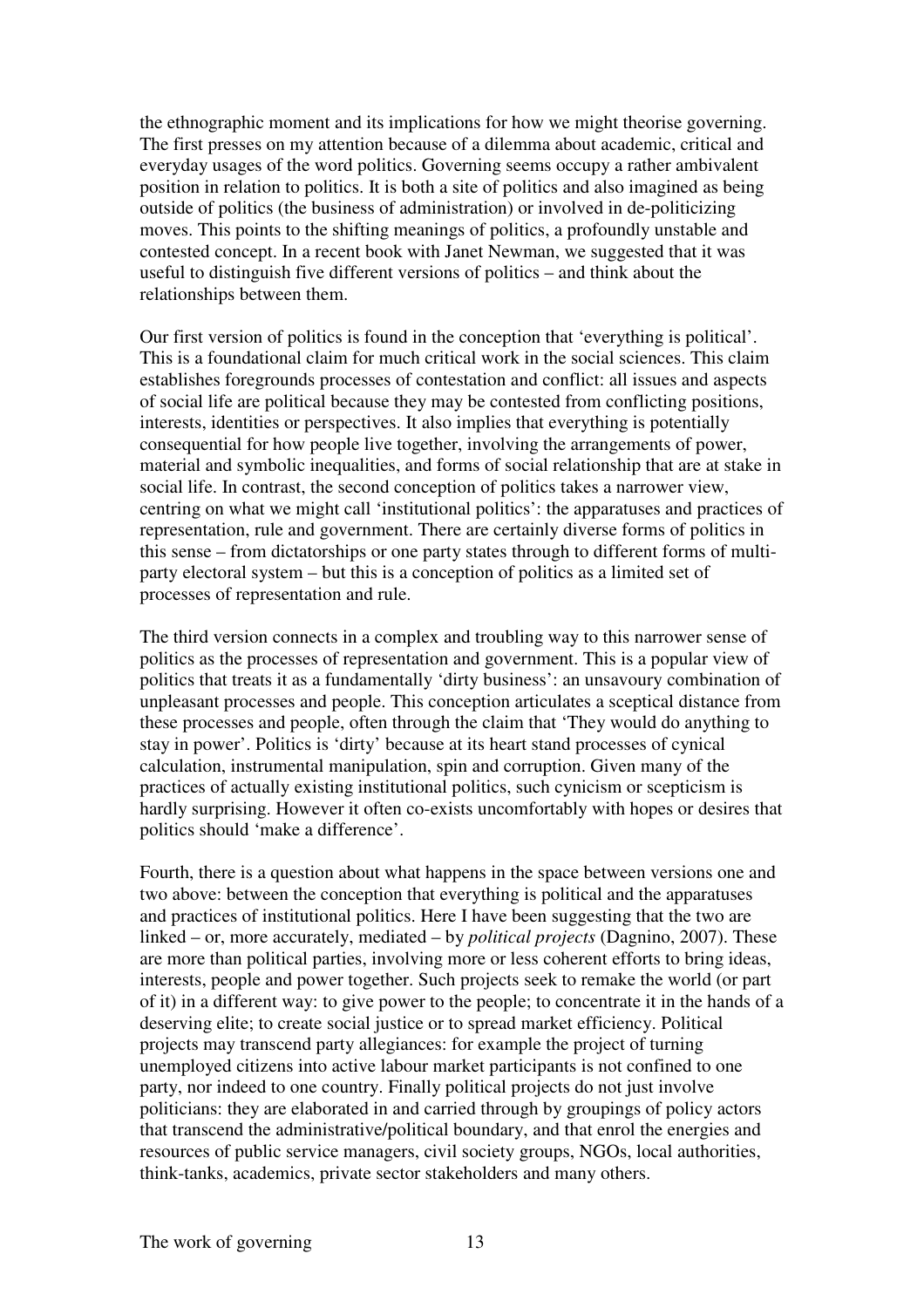the ethnographic moment and its implications for how we might theorise governing. The first presses on my attention because of a dilemma about academic, critical and everyday usages of the word politics. Governing seems occupy a rather ambivalent position in relation to politics. It is both a site of politics and also imagined as being outside of politics (the business of administration) or involved in de-politicizing moves. This points to the shifting meanings of politics, a profoundly unstable and contested concept. In a recent book with Janet Newman, we suggested that it was useful to distinguish five different versions of politics – and think about the relationships between them.

Our first version of politics is found in the conception that 'everything is political'. This is a foundational claim for much critical work in the social sciences. This claim establishes foregrounds processes of contestation and conflict: all issues and aspects of social life are political because they may be contested from conflicting positions, interests, identities or perspectives. It also implies that everything is potentially consequential for how people live together, involving the arrangements of power, material and symbolic inequalities, and forms of social relationship that are at stake in social life. In contrast, the second conception of politics takes a narrower view, centring on what we might call 'institutional politics': the apparatuses and practices of representation, rule and government. There are certainly diverse forms of politics in this sense – from dictatorships or one party states through to different forms of multiparty electoral system – but this is a conception of politics as a limited set of processes of representation and rule.

The third version connects in a complex and troubling way to this narrower sense of politics as the processes of representation and government. This is a popular view of politics that treats it as a fundamentally 'dirty business': an unsavoury combination of unpleasant processes and people. This conception articulates a sceptical distance from these processes and people, often through the claim that 'They would do anything to stay in power'. Politics is 'dirty' because at its heart stand processes of cynical calculation, instrumental manipulation, spin and corruption. Given many of the practices of actually existing institutional politics, such cynicism or scepticism is hardly surprising. However it often co-exists uncomfortably with hopes or desires that politics should 'make a difference'.

Fourth, there is a question about what happens in the space between versions one and two above: between the conception that everything is political and the apparatuses and practices of institutional politics. Here I have been suggesting that the two are linked – or, more accurately, mediated – by *political projects* (Dagnino, 2007). These are more than political parties, involving more or less coherent efforts to bring ideas, interests, people and power together. Such projects seek to remake the world (or part of it) in a different way: to give power to the people; to concentrate it in the hands of a deserving elite; to create social justice or to spread market efficiency. Political projects may transcend party allegiances: for example the project of turning unemployed citizens into active labour market participants is not confined to one party, nor indeed to one country. Finally political projects do not just involve politicians: they are elaborated in and carried through by groupings of policy actors that transcend the administrative/political boundary, and that enrol the energies and resources of public service managers, civil society groups, NGOs, local authorities, think-tanks, academics, private sector stakeholders and many others.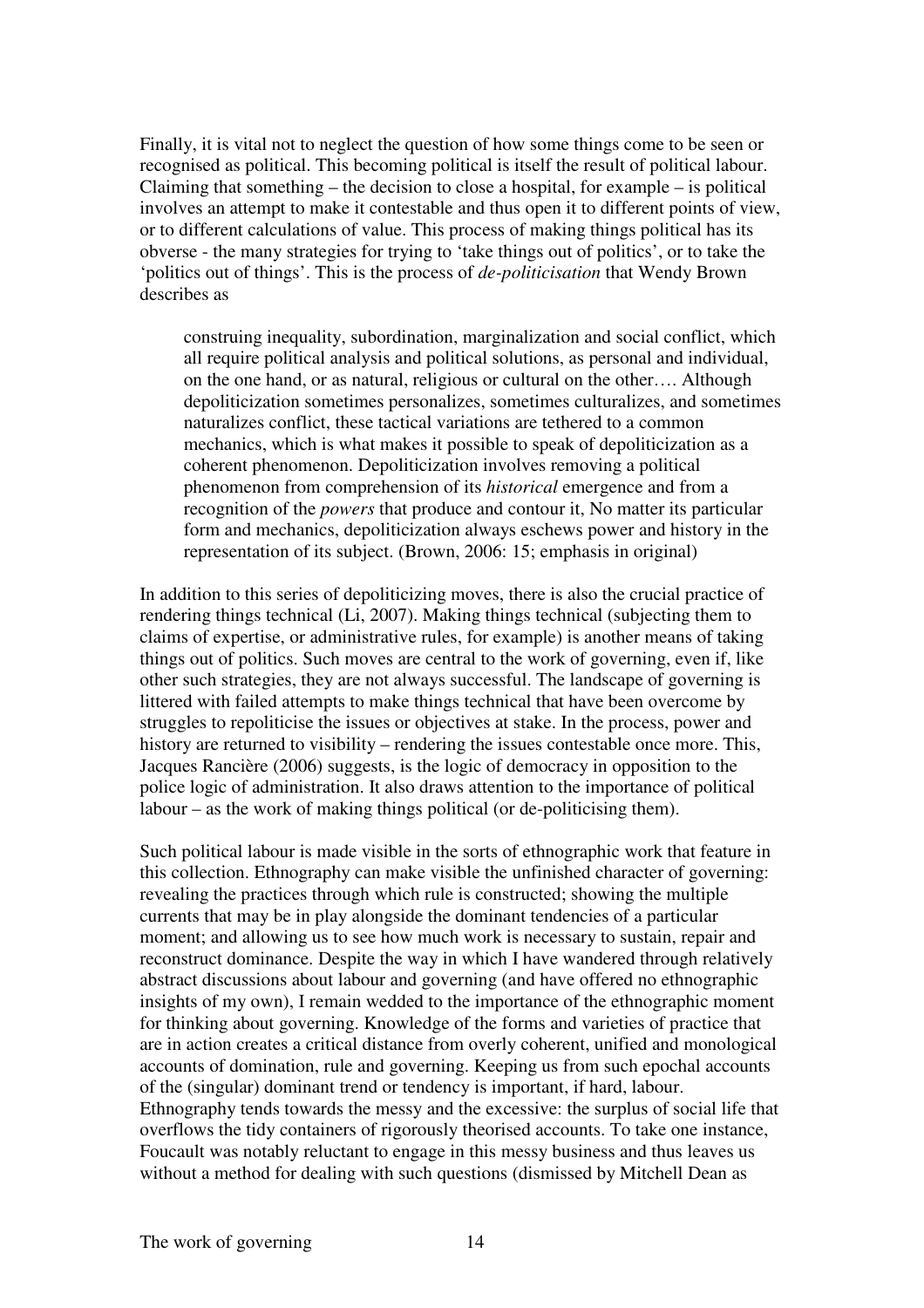Finally, it is vital not to neglect the question of how some things come to be seen or recognised as political. This becoming political is itself the result of political labour. Claiming that something – the decision to close a hospital, for example – is political involves an attempt to make it contestable and thus open it to different points of view, or to different calculations of value. This process of making things political has its obverse - the many strategies for trying to 'take things out of politics', or to take the 'politics out of things'. This is the process of *de-politicisation* that Wendy Brown describes as

construing inequality, subordination, marginalization and social conflict, which all require political analysis and political solutions, as personal and individual, on the one hand, or as natural, religious or cultural on the other…. Although depoliticization sometimes personalizes, sometimes culturalizes, and sometimes naturalizes conflict, these tactical variations are tethered to a common mechanics, which is what makes it possible to speak of depoliticization as a coherent phenomenon. Depoliticization involves removing a political phenomenon from comprehension of its *historical* emergence and from a recognition of the *powers* that produce and contour it, No matter its particular form and mechanics, depoliticization always eschews power and history in the representation of its subject. (Brown, 2006: 15; emphasis in original)

In addition to this series of depoliticizing moves, there is also the crucial practice of rendering things technical (Li, 2007). Making things technical (subjecting them to claims of expertise, or administrative rules, for example) is another means of taking things out of politics. Such moves are central to the work of governing, even if, like other such strategies, they are not always successful. The landscape of governing is littered with failed attempts to make things technical that have been overcome by struggles to repoliticise the issues or objectives at stake. In the process, power and history are returned to visibility – rendering the issues contestable once more. This, Jacques Rancière (2006) suggests, is the logic of democracy in opposition to the police logic of administration. It also draws attention to the importance of political labour – as the work of making things political (or de-politicising them).

Such political labour is made visible in the sorts of ethnographic work that feature in this collection. Ethnography can make visible the unfinished character of governing: revealing the practices through which rule is constructed; showing the multiple currents that may be in play alongside the dominant tendencies of a particular moment; and allowing us to see how much work is necessary to sustain, repair and reconstruct dominance. Despite the way in which I have wandered through relatively abstract discussions about labour and governing (and have offered no ethnographic insights of my own), I remain wedded to the importance of the ethnographic moment for thinking about governing. Knowledge of the forms and varieties of practice that are in action creates a critical distance from overly coherent, unified and monological accounts of domination, rule and governing. Keeping us from such epochal accounts of the (singular) dominant trend or tendency is important, if hard, labour. Ethnography tends towards the messy and the excessive: the surplus of social life that overflows the tidy containers of rigorously theorised accounts. To take one instance, Foucault was notably reluctant to engage in this messy business and thus leaves us without a method for dealing with such questions (dismissed by Mitchell Dean as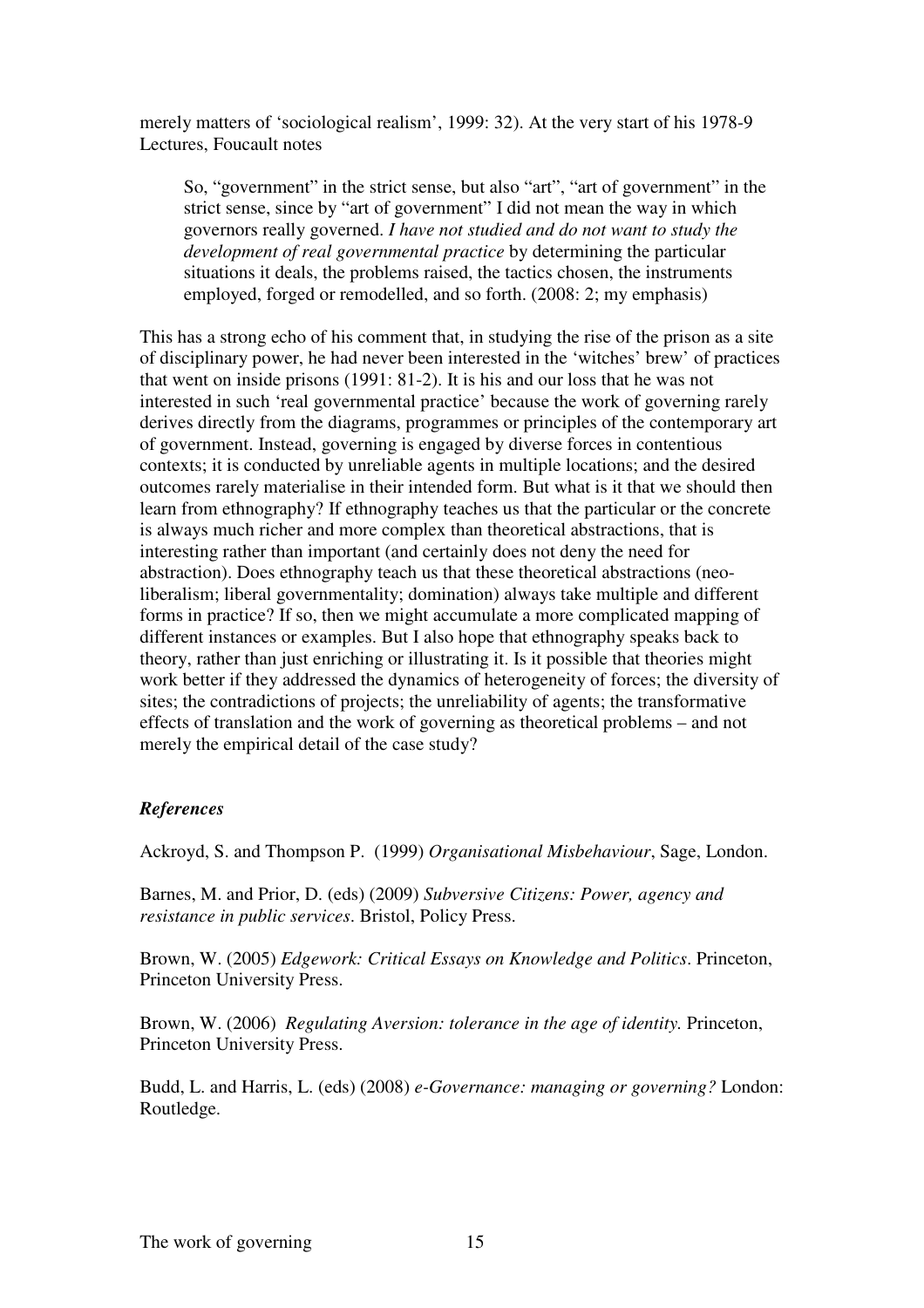merely matters of 'sociological realism', 1999: 32). At the very start of his 1978-9 Lectures, Foucault notes

So, "government" in the strict sense, but also "art", "art of government" in the strict sense, since by "art of government" I did not mean the way in which governors really governed. *I have not studied and do not want to study the development of real governmental practice* by determining the particular situations it deals, the problems raised, the tactics chosen, the instruments employed, forged or remodelled, and so forth. (2008: 2; my emphasis)

This has a strong echo of his comment that, in studying the rise of the prison as a site of disciplinary power, he had never been interested in the 'witches' brew' of practices that went on inside prisons (1991: 81-2). It is his and our loss that he was not interested in such 'real governmental practice' because the work of governing rarely derives directly from the diagrams, programmes or principles of the contemporary art of government. Instead, governing is engaged by diverse forces in contentious contexts; it is conducted by unreliable agents in multiple locations; and the desired outcomes rarely materialise in their intended form. But what is it that we should then learn from ethnography? If ethnography teaches us that the particular or the concrete is always much richer and more complex than theoretical abstractions, that is interesting rather than important (and certainly does not deny the need for abstraction). Does ethnography teach us that these theoretical abstractions (neoliberalism; liberal governmentality; domination) always take multiple and different forms in practice? If so, then we might accumulate a more complicated mapping of different instances or examples. But I also hope that ethnography speaks back to theory, rather than just enriching or illustrating it. Is it possible that theories might work better if they addressed the dynamics of heterogeneity of forces; the diversity of sites; the contradictions of projects; the unreliability of agents; the transformative effects of translation and the work of governing as theoretical problems – and not merely the empirical detail of the case study?

#### *References*

Ackroyd, S. and Thompson P. (1999) *Organisational Misbehaviour*, Sage, London.

Barnes, M. and Prior, D. (eds) (2009) *Subversive Citizens: Power, agency and resistance in public services*. Bristol, Policy Press.

Brown, W. (2005) *Edgework: Critical Essays on Knowledge and Politics*. Princeton, Princeton University Press.

Brown, W. (2006) *Regulating Aversion: tolerance in the age of identity.* Princeton, Princeton University Press.

Budd, L. and Harris, L. (eds) (2008) *e-Governance: managing or governing?* London: Routledge.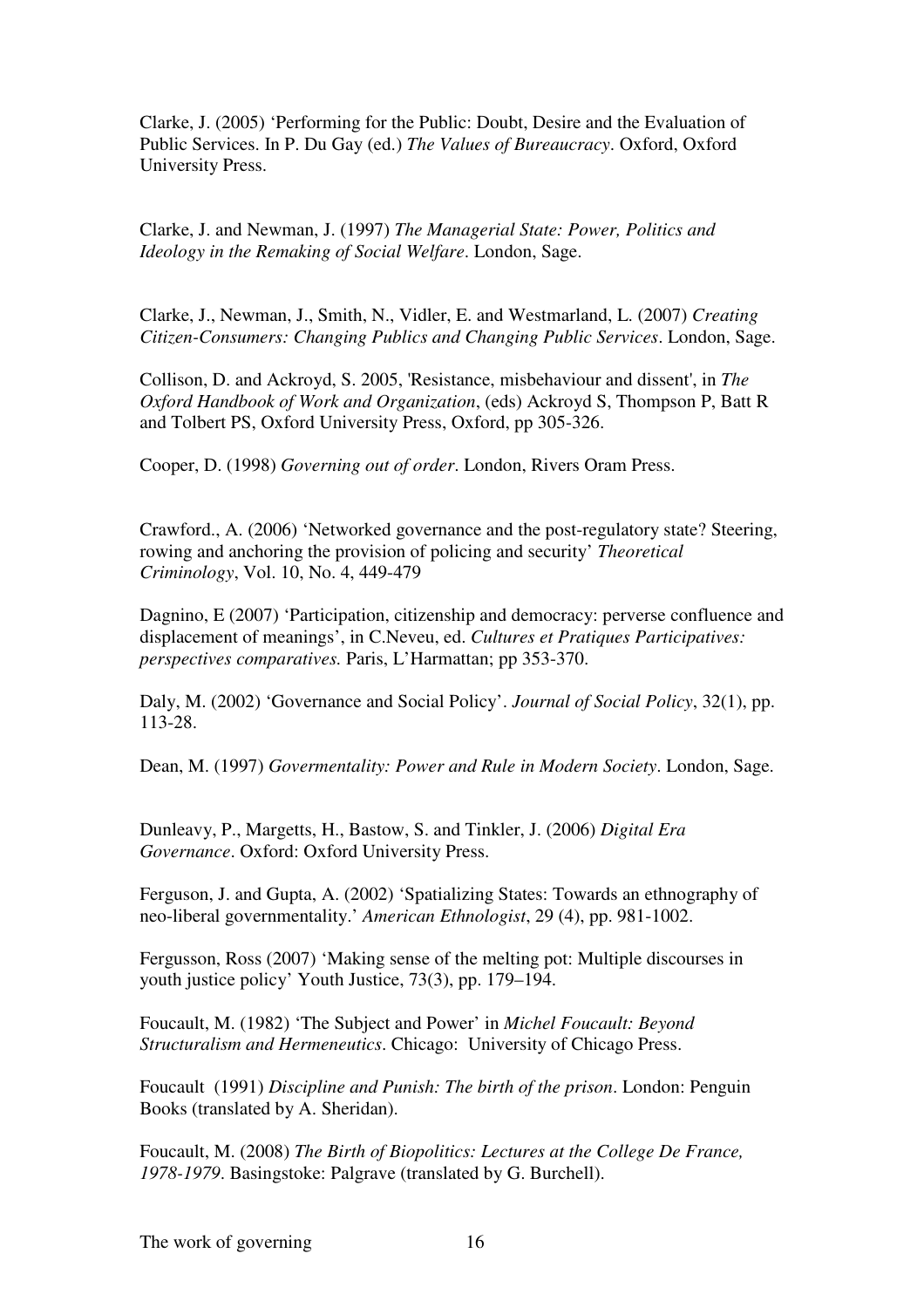Clarke, J. (2005) 'Performing for the Public: Doubt, Desire and the Evaluation of Public Services. In P. Du Gay (ed.) *The Values of Bureaucracy*. Oxford, Oxford University Press.

Clarke, J. and Newman, J. (1997) *The Managerial State: Power, Politics and Ideology in the Remaking of Social Welfare*. London, Sage.

Clarke, J., Newman, J., Smith, N., Vidler, E. and Westmarland, L. (2007) *Creating Citizen-Consumers: Changing Publics and Changing Public Services*. London, Sage.

Collison, D. and Ackroyd, S. 2005, 'Resistance, misbehaviour and dissent', in *The Oxford Handbook of Work and Organization*, (eds) Ackroyd S, Thompson P, Batt R and Tolbert PS, Oxford University Press, Oxford, pp 305-326.

Cooper, D. (1998) *Governing out of order*. London, Rivers Oram Press.

Crawford., A. (2006) 'Networked governance and the post-regulatory state? Steering, rowing and anchoring the provision of policing and security' *Theoretical Criminology*, Vol. 10, No. 4, 449-479

Dagnino, E (2007) 'Participation, citizenship and democracy: perverse confluence and displacement of meanings', in C.Neveu, ed. *Cultures et Pratiques Participatives: perspectives comparatives.* Paris, L'Harmattan; pp 353-370.

Daly, M. (2002) 'Governance and Social Policy'. *Journal of Social Policy*, 32(1), pp. 113-28.

Dean, M. (1997) *Govermentality: Power and Rule in Modern Society*. London, Sage.

Dunleavy, P., Margetts, H., Bastow, S. and Tinkler, J. (2006) *Digital Era Governance*. Oxford: Oxford University Press.

Ferguson, J. and Gupta, A. (2002) 'Spatializing States: Towards an ethnography of neo-liberal governmentality.' *American Ethnologist*, 29 (4), pp. 981-1002.

Fergusson, Ross (2007) 'Making sense of the melting pot: Multiple discourses in youth justice policy' Youth Justice, 73(3), pp. 179–194.

Foucault, M. (1982) 'The Subject and Power' in *Michel Foucault: Beyond Structuralism and Hermeneutics*. Chicago: University of Chicago Press.

Foucault (1991) *Discipline and Punish: The birth of the prison*. London: Penguin Books (translated by A. Sheridan).

Foucault, M. (2008) *The Birth of Biopolitics: Lectures at the College De France, 1978-1979*. Basingstoke: Palgrave (translated by G. Burchell).

The work of governing 16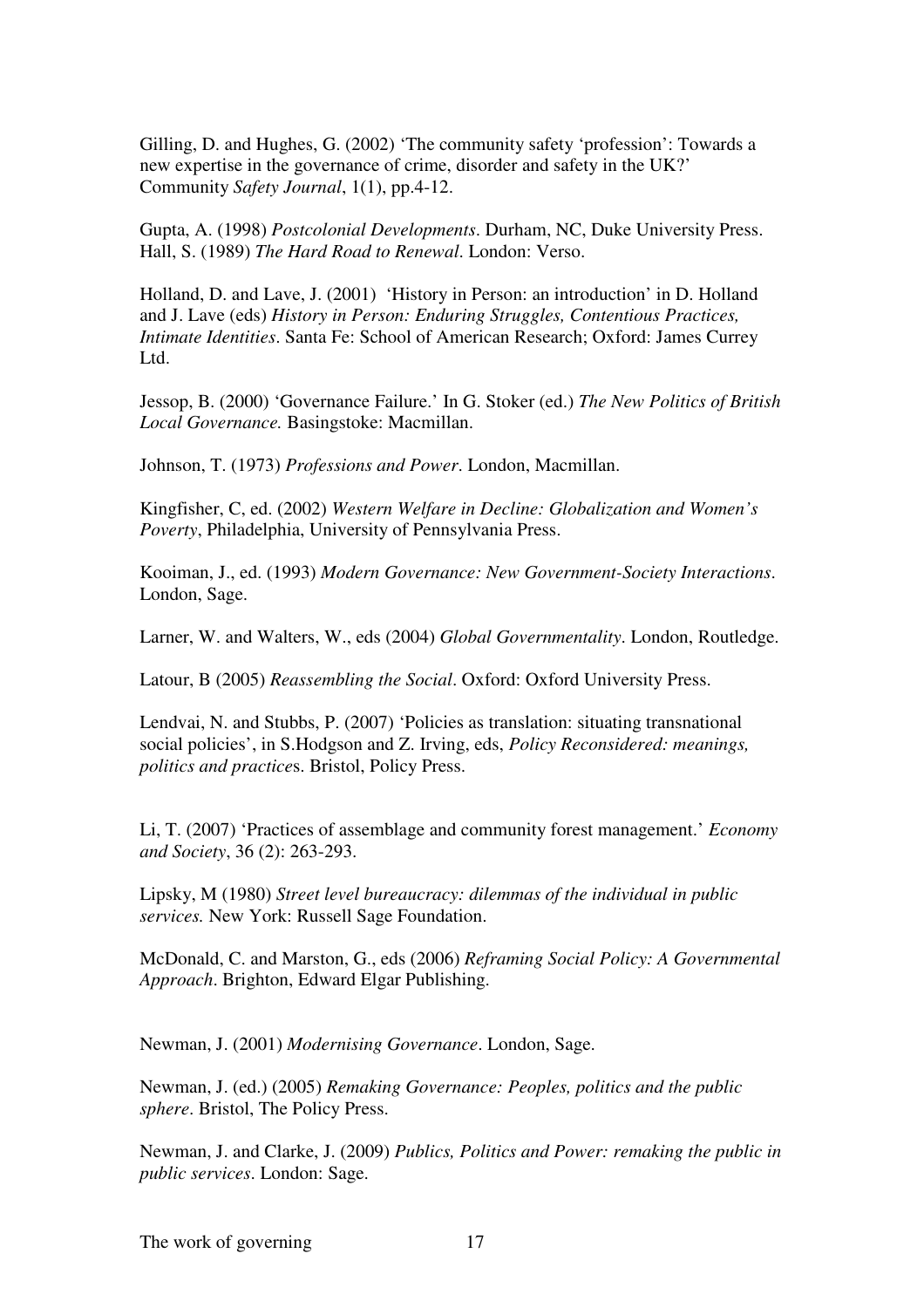Gilling, D. and Hughes, G. (2002) 'The community safety 'profession': Towards a new expertise in the governance of crime, disorder and safety in the UK?' Community *Safety Journal*, 1(1), pp.4-12.

Gupta, A. (1998) *Postcolonial Developments*. Durham, NC, Duke University Press. Hall, S. (1989) *The Hard Road to Renewal*. London: Verso.

Holland, D. and Lave, J. (2001) 'History in Person: an introduction' in D. Holland and J. Lave (eds) *History in Person: Enduring Struggles, Contentious Practices, Intimate Identities*. Santa Fe: School of American Research; Oxford: James Currey Ltd.

Jessop, B. (2000) 'Governance Failure.' In G. Stoker (ed.) *The New Politics of British Local Governance.* Basingstoke: Macmillan.

Johnson, T. (1973) *Professions and Power*. London, Macmillan.

Kingfisher, C, ed. (2002) *Western Welfare in Decline: Globalization and Women's Poverty*, Philadelphia, University of Pennsylvania Press.

Kooiman, J., ed. (1993) *Modern Governance: New Government-Society Interactions*. London, Sage.

Larner, W. and Walters, W., eds (2004) *Global Governmentality*. London, Routledge.

Latour, B (2005) *Reassembling the Social*. Oxford: Oxford University Press.

Lendvai, N. and Stubbs, P. (2007) 'Policies as translation: situating transnational social policies', in S.Hodgson and Z. Irving, eds, *Policy Reconsidered: meanings, politics and practice*s. Bristol, Policy Press.

Li, T. (2007) 'Practices of assemblage and community forest management.' *Economy and Society*, 36 (2): 263-293.

Lipsky, M (1980) *Street level bureaucracy: dilemmas of the individual in public services.* New York: Russell Sage Foundation.

McDonald, C. and Marston, G., eds (2006) *Reframing Social Policy: A Governmental Approach*. Brighton, Edward Elgar Publishing.

Newman, J. (2001) *Modernising Governance*. London, Sage.

Newman, J. (ed.) (2005) *Remaking Governance: Peoples, politics and the public sphere*. Bristol, The Policy Press.

Newman, J. and Clarke, J. (2009) *Publics, Politics and Power: remaking the public in public services*. London: Sage.

The work of governing 17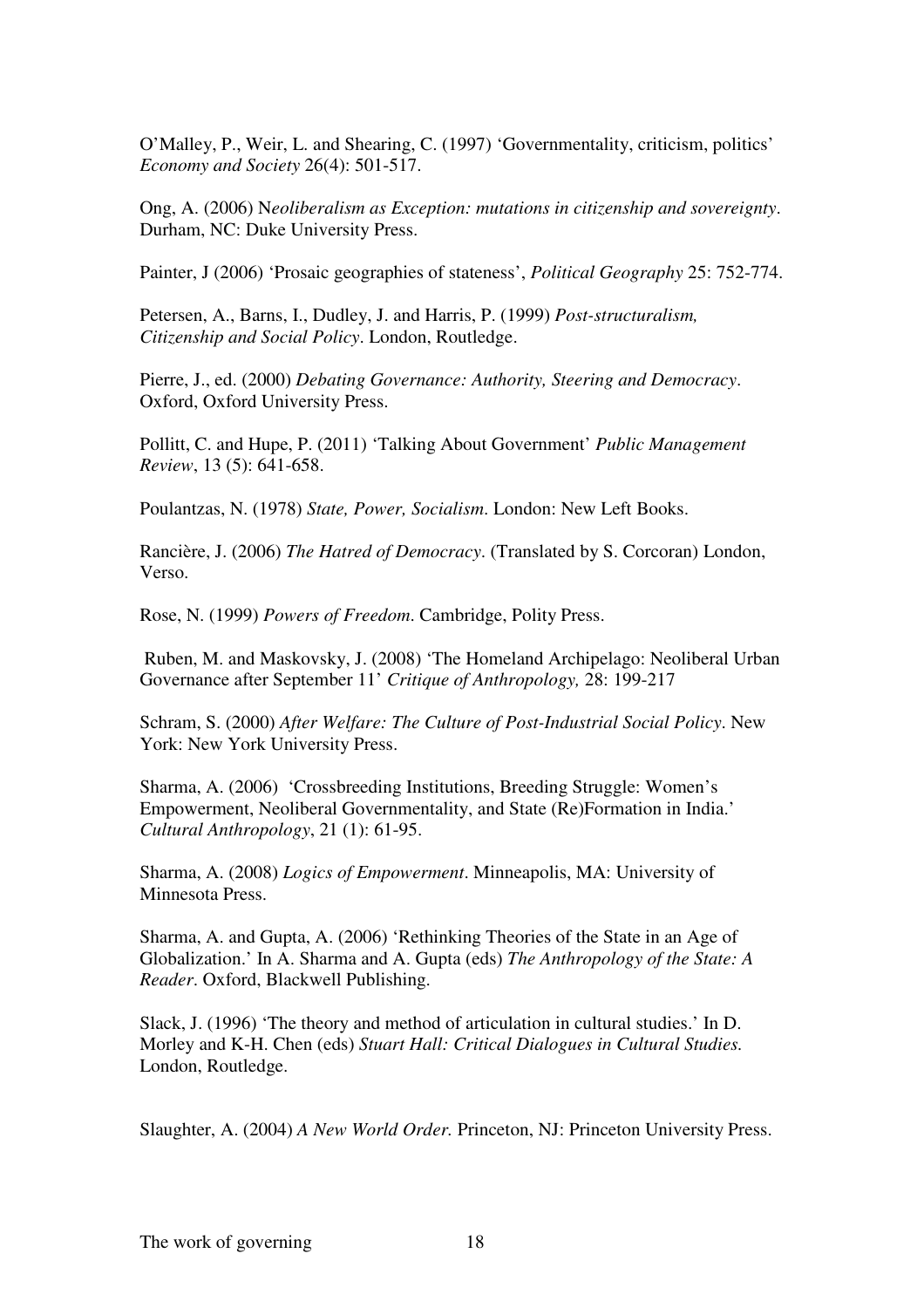O'Malley, P., Weir, L. and Shearing, C. (1997) 'Governmentality, criticism, politics' *Economy and Society* 26(4): 501-517.

Ong, A. (2006) N*eoliberalism as Exception: mutations in citizenship and sovereignty*. Durham, NC: Duke University Press.

Painter, J (2006) 'Prosaic geographies of stateness', *Political Geography* 25: 752-774.

Petersen, A., Barns, I., Dudley, J. and Harris, P. (1999) *Post-structuralism, Citizenship and Social Policy*. London, Routledge.

Pierre, J., ed. (2000) *Debating Governance: Authority, Steering and Democracy*. Oxford, Oxford University Press.

Pollitt, C. and Hupe, P. (2011) 'Talking About Government' *Public Management Review*, 13 (5): 641-658.

Poulantzas, N. (1978) *State, Power, Socialism*. London: New Left Books.

Rancière, J. (2006) *The Hatred of Democracy*. (Translated by S. Corcoran) London, Verso.

Rose, N. (1999) *Powers of Freedom*. Cambridge, Polity Press.

 Ruben, M. and Maskovsky, J. (2008) 'The Homeland Archipelago: Neoliberal Urban Governance after September 11' *Critique of Anthropology,* 28: 199-217

Schram, S. (2000) *After Welfare: The Culture of Post-Industrial Social Policy*. New York: New York University Press.

Sharma, A. (2006) 'Crossbreeding Institutions, Breeding Struggle: Women's Empowerment, Neoliberal Governmentality, and State (Re)Formation in India.' *Cultural Anthropology*, 21 (1): 61-95.

Sharma, A. (2008) *Logics of Empowerment*. Minneapolis, MA: University of Minnesota Press.

Sharma, A. and Gupta, A. (2006) 'Rethinking Theories of the State in an Age of Globalization.' In A. Sharma and A. Gupta (eds) *The Anthropology of the State: A Reader*. Oxford, Blackwell Publishing.

Slack, J. (1996) 'The theory and method of articulation in cultural studies.' In D. Morley and K-H. Chen (eds) *Stuart Hall: Critical Dialogues in Cultural Studies.* London, Routledge.

Slaughter, A. (2004) *A New World Order.* Princeton, NJ: Princeton University Press.